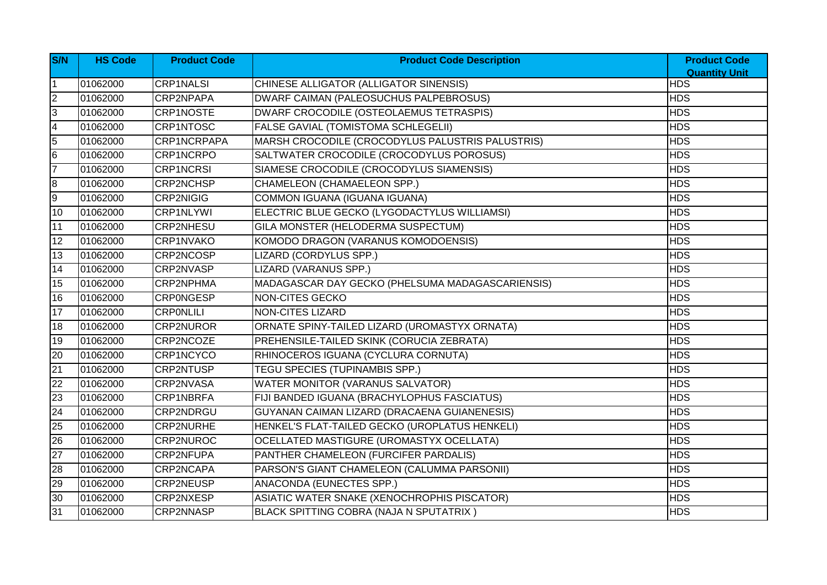| S/N            | <b>HS Code</b> | <b>Product Code</b> | <b>Product Code Description</b>                  | <b>Product Code</b>                |
|----------------|----------------|---------------------|--------------------------------------------------|------------------------------------|
|                | 01062000       | CRP1NALSI           | CHINESE ALLIGATOR (ALLIGATOR SINENSIS)           | <b>Quantity Unit</b><br><b>HDS</b> |
| $\overline{2}$ | 01062000       | CRP2NPAPA           | DWARF CAIMAN (PALEOSUCHUS PALPEBROSUS)           | <b>HDS</b>                         |
| 3              | 01062000       | <b>CRP1NOSTE</b>    | DWARF CROCODILE (OSTEOLAEMUS TETRASPIS)          | <b>HDS</b>                         |
| 4              | 01062000       | CRP1NTOSC           | <b>FALSE GAVIAL (TOMISTOMA SCHLEGELII)</b>       | <b>HDS</b>                         |
| 5              | 01062000       | CRP1NCRPAPA         | MARSH CROCODILE (CROCODYLUS PALUSTRIS PALUSTRIS) | <b>HDS</b>                         |
| 6              | 01062000       | CRP1NCRPO           | SALTWATER CROCODILE (CROCODYLUS POROSUS)         | <b>HDS</b>                         |
| $\overline{7}$ | 01062000       | <b>CRP1NCRSI</b>    | SIAMESE CROCODILE (CROCODYLUS SIAMENSIS)         | <b>HDS</b>                         |
| 8              | 01062000       | <b>CRP2NCHSP</b>    | <b>CHAMELEON (CHAMAELEON SPP.)</b>               | <b>HDS</b>                         |
| 9              | 01062000       | CRP2NIGIG           | COMMON IGUANA (IGUANA IGUANA)                    | <b>HDS</b>                         |
| 10             | 01062000       | <b>CRP1NLYWI</b>    | ELECTRIC BLUE GECKO (LYGODACTYLUS WILLIAMSI)     | <b>HDS</b>                         |
| 11             | 01062000       | <b>CRP2NHESU</b>    | GILA MONSTER (HELODERMA SUSPECTUM)               | <b>HDS</b>                         |
| 12             | 01062000       | CRP1NVAKO           | KOMODO DRAGON (VARANUS KOMODOENSIS)              | <b>HDS</b>                         |
| 13             | 01062000       | CRP2NCOSP           | LIZARD (CORDYLUS SPP.)                           | <b>HDS</b>                         |
| 14             | 01062000       | <b>CRP2NVASP</b>    | <b>LIZARD (VARANUS SPP.)</b>                     | <b>HDS</b>                         |
| 15             | 01062000       | <b>CRP2NPHMA</b>    | MADAGASCAR DAY GECKO (PHELSUMA MADAGASCARIENSIS) | <b>HDS</b>                         |
| 16             | 01062000       | <b>CRPONGESP</b>    | NON-CITES GECKO                                  | <b>HDS</b>                         |
| 17             | 01062000       | <b>CRPONLILI</b>    | <b>NON-CITES LIZARD</b>                          | <b>HDS</b>                         |
| 18             | 01062000       | <b>CRP2NUROR</b>    | ORNATE SPINY-TAILED LIZARD (UROMASTYX ORNATA)    | <b>HDS</b>                         |
| 19             | 01062000       | CRP2NCOZE           | PREHENSILE-TAILED SKINK (CORUCIA ZEBRATA)        | <b>HDS</b>                         |
| 20             | 01062000       | <b>CRP1NCYCO</b>    | RHINOCEROS IGUANA (CYCLURA CORNUTA)              | <b>HDS</b>                         |
| 21             | 01062000       | CRP2NTUSP           | <b>TEGU SPECIES (TUPINAMBIS SPP.)</b>            | <b>HDS</b>                         |
| 22             | 01062000       | CRP2NVASA           | <b>WATER MONITOR (VARANUS SALVATOR)</b>          | <b>HDS</b>                         |
| 23             | 01062000       | <b>CRP1NBRFA</b>    | FIJI BANDED IGUANA (BRACHYLOPHUS FASCIATUS)      | <b>HDS</b>                         |
| 24             | 01062000       | CRP2NDRGU           | GUYANAN CAIMAN LIZARD (DRACAENA GUIANENESIS)     | <b>HDS</b>                         |
| 25             | 01062000       | <b>CRP2NURHE</b>    | HENKEL'S FLAT-TAILED GECKO (UROPLATUS HENKELI)   | <b>HDS</b>                         |
| 26             | 01062000       | CRP2NUROC           | OCELLATED MASTIGURE (UROMASTYX OCELLATA)         | <b>HDS</b>                         |
| 27             | 01062000       | <b>CRP2NFUPA</b>    | PANTHER CHAMELEON (FURCIFER PARDALIS)            | <b>HDS</b>                         |
| 28             | 01062000       | CRP2NCAPA           | PARSON'S GIANT CHAMELEON (CALUMMA PARSONII)      | <b>HDS</b>                         |
| 29             | 01062000       | CRP2NEUSP           | ANACONDA (EUNECTES SPP.)                         | <b>HDS</b>                         |
| 30             | 01062000       | CRP2NXESP           | ASIATIC WATER SNAKE (XENOCHROPHIS PISCATOR)      | <b>HDS</b>                         |
| 31             | 01062000       | <b>CRP2NNASP</b>    | BLACK SPITTING COBRA (NAJA N SPUTATRIX)          | <b>HDS</b>                         |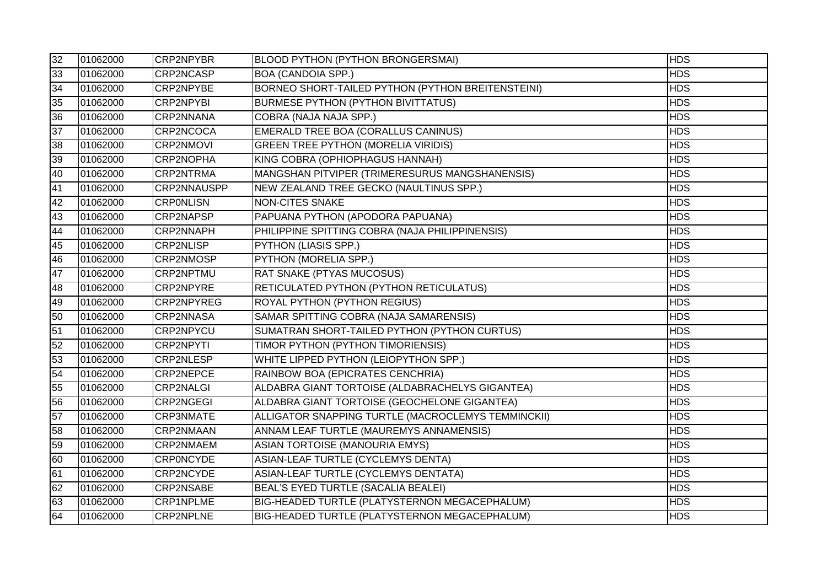| 32 | 01062000 | <b>CRP2NPYBR</b>  | <b>BLOOD PYTHON (PYTHON BRONGERSMAI)</b>             | <b>HDS</b> |
|----|----------|-------------------|------------------------------------------------------|------------|
| 33 | 01062000 | CRP2NCASP         | <b>BOA (CANDOIA SPP.)</b>                            | <b>HDS</b> |
| 34 | 01062000 | CRP2NPYBE         | BORNEO SHORT-TAILED PYTHON (PYTHON BREITENSTEINI)    | <b>HDS</b> |
| 35 | 01062000 | <b>CRP2NPYBI</b>  | <b>BURMESE PYTHON (PYTHON BIVITTATUS)</b>            | <b>HDS</b> |
| 36 | 01062000 | CRP2NNANA         | COBRA (NAJA NAJA SPP.)                               | <b>HDS</b> |
| 37 | 01062000 | CRP2NCOCA         | EMERALD TREE BOA (CORALLUS CANINUS)                  | <b>HDS</b> |
| 38 | 01062000 | <b>CRP2NMOVI</b>  | <b>GREEN TREE PYTHON (MORELIA VIRIDIS)</b>           | <b>HDS</b> |
| 39 | 01062000 | CRP2NOPHA         | KING COBRA (OPHIOPHAGUS HANNAH)                      | <b>HDS</b> |
| 40 | 01062000 | CRP2NTRMA         | MANGSHAN PITVIPER (TRIMERESURUS MANGSHANENSIS)       | <b>HDS</b> |
| 41 | 01062000 | CRP2NNAUSPP       | NEW ZEALAND TREE GECKO (NAULTINUS SPP.)              | <b>HDS</b> |
| 42 | 01062000 | <b>CRPONLISN</b>  | <b>NON-CITES SNAKE</b>                               | <b>HDS</b> |
| 43 | 01062000 | <b>CRP2NAPSP</b>  | PAPUANA PYTHON (APODORA PAPUANA)                     | <b>HDS</b> |
| 44 | 01062000 | CRP2NNAPH         | PHILIPPINE SPITTING COBRA (NAJA PHILIPPINENSIS)      | <b>HDS</b> |
| 45 | 01062000 | <b>CRP2NLISP</b>  | <b>PYTHON (LIASIS SPP.)</b>                          | <b>HDS</b> |
| 46 | 01062000 | <b>CRP2NMOSP</b>  | PYTHON (MORELIA SPP.)                                | <b>HDS</b> |
| 47 | 01062000 | CRP2NPTMU         | <b>RAT SNAKE (PTYAS MUCOSUS)</b>                     | <b>HDS</b> |
| 48 | 01062000 | CRP2NPYRE         | RETICULATED PYTHON (PYTHON RETICULATUS)              | <b>HDS</b> |
| 49 | 01062000 | <b>CRP2NPYREG</b> | ROYAL PYTHON (PYTHON REGIUS)                         | <b>HDS</b> |
| 50 | 01062000 | <b>CRP2NNASA</b>  | SAMAR SPITTING COBRA (NAJA SAMARENSIS)               | <b>HDS</b> |
| 51 | 01062000 | CRP2NPYCU         | SUMATRAN SHORT-TAILED PYTHON (PYTHON CURTUS)         | <b>HDS</b> |
| 52 | 01062000 | <b>CRP2NPYTI</b>  | TIMOR PYTHON (PYTHON TIMORIENSIS)                    | <b>HDS</b> |
| 53 | 01062000 | <b>CRP2NLESP</b>  | WHITE LIPPED PYTHON (LEIOPYTHON SPP.)                | <b>HDS</b> |
| 54 | 01062000 | <b>CRP2NEPCE</b>  | RAINBOW BOA (EPICRATES CENCHRIA)                     | <b>HDS</b> |
| 55 | 01062000 | <b>CRP2NALGI</b>  | ALDABRA GIANT TORTOISE (ALDABRACHELYS GIGANTEA)      | <b>HDS</b> |
| 56 | 01062000 | <b>CRP2NGEGI</b>  | ALDABRA GIANT TORTOISE (GEOCHELONE GIGANTEA)         | <b>HDS</b> |
| 57 | 01062000 | <b>CRP3NMATE</b>  | ALLIGATOR SNAPPING TURTLE (MACROCLEMYS TEMMINCKII)   | <b>HDS</b> |
| 58 | 01062000 | CRP2NMAAN         | ANNAM LEAF TURTLE (MAUREMYS ANNAMENSIS)              | <b>HDS</b> |
| 59 | 01062000 | CRP2NMAEM         | ASIAN TORTOISE (MANOURIA EMYS)                       | <b>HDS</b> |
| 60 | 01062000 | <b>CRPONCYDE</b>  | ASIAN-LEAF TURTLE (CYCLEMYS DENTA)                   | <b>HDS</b> |
| 61 | 01062000 | <b>CRP2NCYDE</b>  | ASIAN-LEAF TURTLE (CYCLEMYS DENTATA)                 | <b>HDS</b> |
| 62 | 01062000 | <b>CRP2NSABE</b>  | BEAL'S EYED TURTLE (SACALIA BEALEI)                  | <b>HDS</b> |
| 63 | 01062000 | CRP1NPLME         | <b>BIG-HEADED TURTLE (PLATYSTERNON MEGACEPHALUM)</b> | <b>HDS</b> |
| 64 | 01062000 | <b>CRP2NPLNE</b>  | BIG-HEADED TURTLE (PLATYSTERNON MEGACEPHALUM)        | <b>HDS</b> |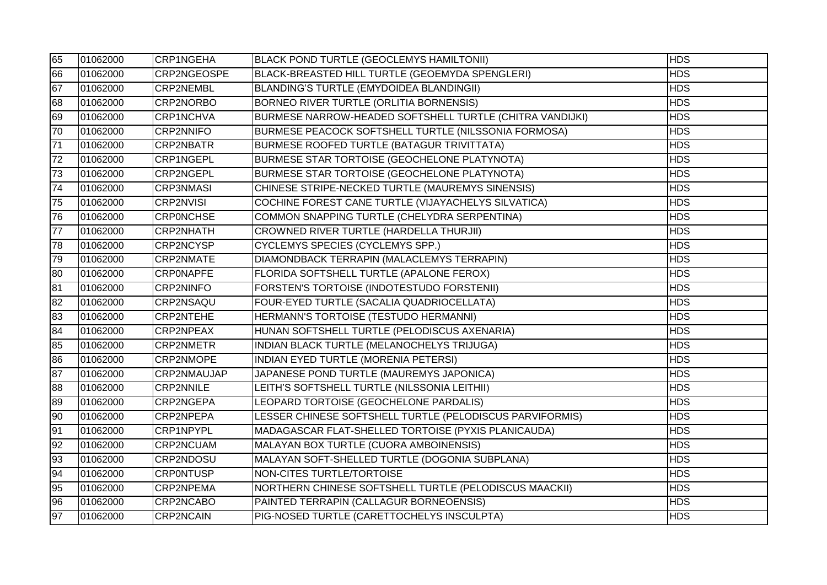| 65 | 01062000 | <b>CRP1NGEHA</b> | BLACK POND TURTLE (GEOCLEMYS HAMILTONII)                 | <b>HDS</b> |
|----|----------|------------------|----------------------------------------------------------|------------|
| 66 | 01062000 | CRP2NGEOSPE      | BLACK-BREASTED HILL TURTLE (GEOEMYDA SPENGLERI)          | <b>HDS</b> |
| 67 | 01062000 | <b>CRP2NEMBL</b> | BLANDING'S TURTLE (EMYDOIDEA BLANDINGII)                 | <b>HDS</b> |
| 68 | 01062000 | CRP2NORBO        | BORNEO RIVER TURTLE (ORLITIA BORNENSIS)                  | <b>HDS</b> |
| 69 | 01062000 | <b>CRP1NCHVA</b> | BURMESE NARROW-HEADED SOFTSHELL TURTLE (CHITRA VANDIJKI) | <b>HDS</b> |
| 70 | 01062000 | <b>CRP2NNIFO</b> | BURMESE PEACOCK SOFTSHELL TURTLE (NILSSONIA FORMOSA)     | <b>HDS</b> |
| 71 | 01062000 | <b>CRP2NBATR</b> | BURMESE ROOFED TURTLE (BATAGUR TRIVITTATA)               | <b>HDS</b> |
| 72 | 01062000 | <b>CRP1NGEPL</b> | BURMESE STAR TORTOISE (GEOCHELONE PLATYNOTA)             | <b>HDS</b> |
| 73 | 01062000 | <b>CRP2NGEPL</b> | BURMESE STAR TORTOISE (GEOCHELONE PLATYNOTA)             | <b>HDS</b> |
| 74 | 01062000 | <b>CRP3NMASI</b> | CHINESE STRIPE-NECKED TURTLE (MAUREMYS SINENSIS)         | <b>HDS</b> |
| 75 | 01062000 | <b>CRP2NVISI</b> | COCHINE FOREST CANE TURTLE (VIJAYACHELYS SILVATICA)      | <b>HDS</b> |
| 76 | 01062000 | <b>CRPONCHSE</b> | COMMON SNAPPING TURTLE (CHELYDRA SERPENTINA)             | <b>HDS</b> |
| 77 | 01062000 | <b>CRP2NHATH</b> | CROWNED RIVER TURTLE (HARDELLA THURJII)                  | <b>HDS</b> |
| 78 | 01062000 | CRP2NCYSP        | CYCLEMYS SPECIES (CYCLEMYS SPP.)                         | <b>HDS</b> |
| 79 | 01062000 | <b>CRP2NMATE</b> | DIAMONDBACK TERRAPIN (MALACLEMYS TERRAPIN)               | <b>HDS</b> |
| 80 | 01062000 | <b>CRPONAPFE</b> | FLORIDA SOFTSHELL TURTLE (APALONE FEROX)                 | <b>HDS</b> |
| 81 | 01062000 | <b>CRP2NINFO</b> | FORSTEN'S TORTOISE (INDOTESTUDO FORSTENII)               | <b>HDS</b> |
| 82 | 01062000 | CRP2NSAQU        | FOUR-EYED TURTLE (SACALIA QUADRIOCELLATA)                | <b>HDS</b> |
| 83 | 01062000 | <b>CRP2NTEHE</b> | HERMANN'S TORTOISE (TESTUDO HERMANNI)                    | <b>HDS</b> |
| 84 | 01062000 | <b>CRP2NPEAX</b> | HUNAN SOFTSHELL TURTLE (PELODISCUS AXENARIA)             | <b>HDS</b> |
| 85 | 01062000 | <b>CRP2NMETR</b> | INDIAN BLACK TURTLE (MELANOCHELYS TRIJUGA)               | <b>HDS</b> |
| 86 | 01062000 | CRP2NMOPE        | INDIAN EYED TURTLE (MORENIA PETERSI)                     | <b>HDS</b> |
| 87 | 01062000 | CRP2NMAUJAP      | JAPANESE POND TURTLE (MAUREMYS JAPONICA)                 | <b>HDS</b> |
| 88 | 01062000 | <b>CRP2NNILE</b> | LEITH'S SOFTSHELL TURTLE (NILSSONIA LEITHII)             | <b>HDS</b> |
| 89 | 01062000 | CRP2NGEPA        | LEOPARD TORTOISE (GEOCHELONE PARDALIS)                   | <b>HDS</b> |
| 90 | 01062000 | CRP2NPEPA        | LESSER CHINESE SOFTSHELL TURTLE (PELODISCUS PARVIFORMIS) | <b>HDS</b> |
| 91 | 01062000 | <b>CRP1NPYPL</b> | MADAGASCAR FLAT-SHELLED TORTOISE (PYXIS PLANICAUDA)      | <b>HDS</b> |
| 92 | 01062000 | CRP2NCUAM        | MALAYAN BOX TURTLE (CUORA AMBOINENSIS)                   | <b>HDS</b> |
| 93 | 01062000 | CRP2NDOSU        | MALAYAN SOFT-SHELLED TURTLE (DOGONIA SUBPLANA)           | <b>HDS</b> |
| 94 | 01062000 | <b>CRPONTUSP</b> | NON-CITES TURTLE/TORTOISE                                | <b>HDS</b> |
| 95 | 01062000 | CRP2NPEMA        | NORTHERN CHINESE SOFTSHELL TURTLE (PELODISCUS MAACKII)   | <b>HDS</b> |
| 96 | 01062000 | CRP2NCABO        | PAINTED TERRAPIN (CALLAGUR BORNEOENSIS)                  | <b>HDS</b> |
| 97 | 01062000 | CRP2NCAIN        | PIG-NOSED TURTLE (CARETTOCHELYS INSCULPTA)               | <b>HDS</b> |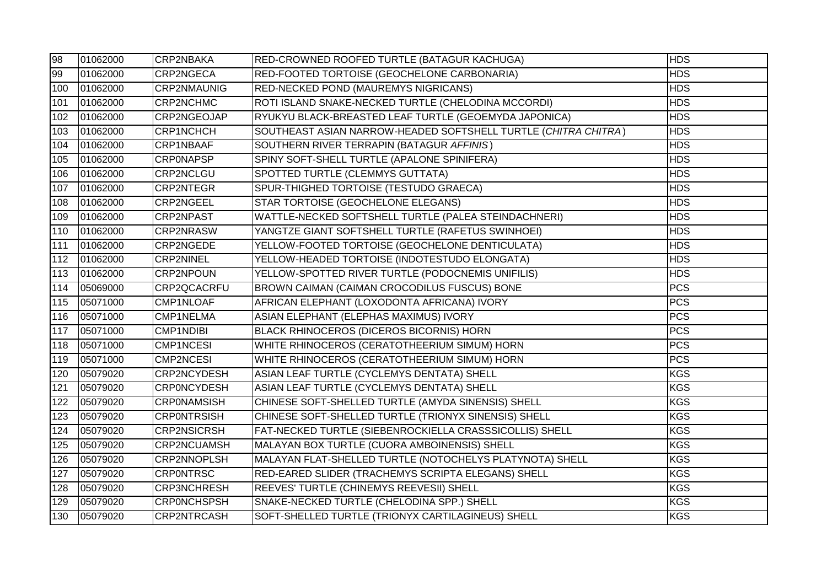| 98  | 01062000 | <b>CRP2NBAKA</b>   | RED-CROWNED ROOFED TURTLE (BATAGUR KACHUGA)                    | <b>HDS</b> |
|-----|----------|--------------------|----------------------------------------------------------------|------------|
| 99  | 01062000 | CRP2NGECA          | RED-FOOTED TORTOISE (GEOCHELONE CARBONARIA)                    | <b>HDS</b> |
| 100 | 01062000 | <b>CRP2NMAUNIG</b> | RED-NECKED POND (MAUREMYS NIGRICANS)                           | <b>HDS</b> |
| 101 | 01062000 | CRP2NCHMC          | ROTI ISLAND SNAKE-NECKED TURTLE (CHELODINA MCCORDI)            | <b>HDS</b> |
| 102 | 01062000 | CRP2NGEOJAP        | RYUKYU BLACK-BREASTED LEAF TURTLE (GEOEMYDA JAPONICA)          | <b>HDS</b> |
| 103 | 01062000 | <b>CRP1NCHCH</b>   | SOUTHEAST ASIAN NARROW-HEADED SOFTSHELL TURTLE (CHITRA CHITRA) | <b>HDS</b> |
| 104 | 01062000 | CRP1NBAAF          | SOUTHERN RIVER TERRAPIN (BATAGUR AFFINIS)                      | <b>HDS</b> |
| 105 | 01062000 | <b>CRPONAPSP</b>   | SPINY SOFT-SHELL TURTLE (APALONE SPINIFERA)                    | <b>HDS</b> |
| 106 | 01062000 | CRP2NCLGU          | SPOTTED TURTLE (CLEMMYS GUTTATA)                               | <b>HDS</b> |
| 107 | 01062000 | <b>CRP2NTEGR</b>   | SPUR-THIGHED TORTOISE (TESTUDO GRAECA)                         | <b>HDS</b> |
| 108 | 01062000 | <b>CRP2NGEEL</b>   | STAR TORTOISE (GEOCHELONE ELEGANS)                             | <b>HDS</b> |
| 109 | 01062000 | <b>CRP2NPAST</b>   | WATTLE-NECKED SOFTSHELL TURTLE (PALEA STEINDACHNERI)           | <b>HDS</b> |
| 110 | 01062000 | <b>CRP2NRASW</b>   | YANGTZE GIANT SOFTSHELL TURTLE (RAFETUS SWINHOEI)              | <b>HDS</b> |
| 111 | 01062000 | CRP2NGEDE          | YELLOW-FOOTED TORTOISE (GEOCHELONE DENTICULATA)                | <b>HDS</b> |
| 112 | 01062000 | <b>CRP2NINEL</b>   | YELLOW-HEADED TORTOISE (INDOTESTUDO ELONGATA)                  | <b>HDS</b> |
| 113 | 01062000 | <b>CRP2NPOUN</b>   | YELLOW-SPOTTED RIVER TURTLE (PODOCNEMIS UNIFILIS)              | <b>HDS</b> |
| 114 | 05069000 | CRP2QCACRFU        | BROWN CAIMAN (CAIMAN CROCODILUS FUSCUS) BONE                   | <b>PCS</b> |
| 115 | 05071000 | CMP1NLOAF          | AFRICAN ELEPHANT (LOXODONTA AFRICANA) IVORY                    | <b>PCS</b> |
| 116 | 05071000 | CMP1NELMA          | ASIAN ELEPHANT (ELEPHAS MAXIMUS) IVORY                         | <b>PCS</b> |
| 117 | 05071000 | <b>CMP1NDIBI</b>   | BLACK RHINOCEROS (DICEROS BICORNIS) HORN                       | <b>PCS</b> |
| 118 | 05071000 | <b>CMP1NCESI</b>   | WHITE RHINOCEROS (CERATOTHEERIUM SIMUM) HORN                   | <b>PCS</b> |
| 119 | 05071000 | <b>CMP2NCESI</b>   | WHITE RHINOCEROS (CERATOTHEERIUM SIMUM) HORN                   | <b>PCS</b> |
| 120 | 05079020 | CRP2NCYDESH        | ASIAN LEAF TURTLE (CYCLEMYS DENTATA) SHELL                     | <b>KGS</b> |
| 121 | 05079020 | <b>CRPONCYDESH</b> | ASIAN LEAF TURTLE (CYCLEMYS DENTATA) SHELL                     | <b>KGS</b> |
| 122 | 05079020 | <b>CRPONAMSISH</b> | CHINESE SOFT-SHELLED TURTLE (AMYDA SINENSIS) SHELL             | <b>KGS</b> |
| 123 | 05079020 | <b>CRPONTRSISH</b> | CHINESE SOFT-SHELLED TURTLE (TRIONYX SINENSIS) SHELL           | <b>KGS</b> |
| 124 | 05079020 | <b>CRP2NSICRSH</b> | FAT-NECKED TURTLE (SIEBENROCKIELLA CRASSSICOLLIS) SHELL        | <b>KGS</b> |
| 125 | 05079020 | <b>CRP2NCUAMSH</b> | MALAYAN BOX TURTLE (CUORA AMBOINENSIS) SHELL                   | <b>KGS</b> |
| 126 | 05079020 | CRP2NNOPLSH        | MALAYAN FLAT-SHELLED TURTLE (NOTOCHELYS PLATYNOTA) SHELL       | <b>KGS</b> |
| 127 | 05079020 | <b>CRPONTRSC</b>   | RED-EARED SLIDER (TRACHEMYS SCRIPTA ELEGANS) SHELL             | <b>KGS</b> |
| 128 | 05079020 | <b>CRP3NCHRESH</b> | REEVES' TURTLE (CHINEMYS REEVESII) SHELL                       | <b>KGS</b> |
| 129 | 05079020 | <b>CRPONCHSPSH</b> | SNAKE-NECKED TURTLE (CHELODINA SPP.) SHELL                     | <b>KGS</b> |
| 130 | 05079020 | <b>CRP2NTRCASH</b> | SOFT-SHELLED TURTLE (TRIONYX CARTILAGINEUS) SHELL              | <b>KGS</b> |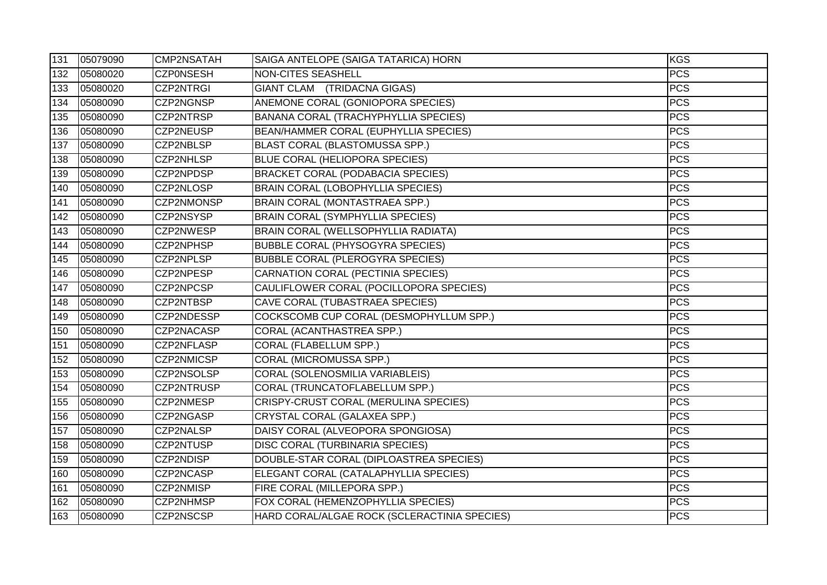| 131 | 05079090 | CMP2NSATAH        | SAIGA ANTELOPE (SAIGA TATARICA) HORN         | KGS        |
|-----|----------|-------------------|----------------------------------------------|------------|
| 132 | 05080020 | <b>CZPONSESH</b>  | <b>NON-CITES SEASHELL</b>                    | <b>PCS</b> |
| 133 | 05080020 | <b>CZP2NTRGI</b>  | GIANT CLAM (TRIDACNA GIGAS)                  | <b>PCS</b> |
| 134 | 05080090 | CZP2NGNSP         | ANEMONE CORAL (GONIOPORA SPECIES)            | <b>PCS</b> |
| 135 | 05080090 | CZP2NTRSP         | BANANA CORAL (TRACHYPHYLLIA SPECIES)         | <b>PCS</b> |
| 136 | 05080090 | CZP2NEUSP         | BEAN/HAMMER CORAL (EUPHYLLIA SPECIES)        | <b>PCS</b> |
| 137 | 05080090 | CZP2NBLSP         | BLAST CORAL (BLASTOMUSSA SPP.)               | <b>PCS</b> |
| 138 | 05080090 | <b>CZP2NHLSP</b>  | BLUE CORAL (HELIOPORA SPECIES)               | <b>PCS</b> |
| 139 | 05080090 | CZP2NPDSP         | <b>BRACKET CORAL (PODABACIA SPECIES)</b>     | <b>PCS</b> |
| 140 | 05080090 | CZP2NLOSP         | BRAIN CORAL (LOBOPHYLLIA SPECIES)            | <b>PCS</b> |
| 141 | 05080090 | CZP2NMONSP        | BRAIN CORAL (MONTASTRAEA SPP.)               | <b>PCS</b> |
| 142 | 05080090 | CZP2NSYSP         | <b>BRAIN CORAL (SYMPHYLLIA SPECIES)</b>      | <b>PCS</b> |
| 143 | 05080090 | CZP2NWESP         | BRAIN CORAL (WELLSOPHYLLIA RADIATA)          | <b>PCS</b> |
| 144 | 05080090 | CZP2NPHSP         | <b>BUBBLE CORAL (PHYSOGYRA SPECIES)</b>      | <b>PCS</b> |
| 145 | 05080090 | CZP2NPLSP         | <b>BUBBLE CORAL (PLEROGYRA SPECIES)</b>      | <b>PCS</b> |
| 146 | 05080090 | CZP2NPESP         | CARNATION CORAL (PECTINIA SPECIES)           | <b>PCS</b> |
| 147 | 05080090 | CZP2NPCSP         | CAULIFLOWER CORAL (POCILLOPORA SPECIES)      | <b>PCS</b> |
| 148 | 05080090 | CZP2NTBSP         | CAVE CORAL (TUBASTRAEA SPECIES)              | <b>PCS</b> |
| 149 | 05080090 | CZP2NDESSP        | COCKSCOMB CUP CORAL (DESMOPHYLLUM SPP.)      | <b>PCS</b> |
| 150 | 05080090 | CZP2NACASP        | CORAL (ACANTHASTREA SPP.)                    | <b>PCS</b> |
| 151 | 05080090 | CZP2NFLASP        | CORAL (FLABELLUM SPP.)                       | <b>PCS</b> |
| 152 | 05080090 | CZP2NMICSP        | CORAL (MICROMUSSA SPP.)                      | <b>PCS</b> |
| 153 | 05080090 | CZP2NSOLSP        | CORAL (SOLENOSMILIA VARIABLEIS)              | <b>PCS</b> |
| 154 | 05080090 | <b>CZP2NTRUSP</b> | CORAL (TRUNCATOFLABELLUM SPP.)               | <b>PCS</b> |
| 155 | 05080090 | CZP2NMESP         | CRISPY-CRUST CORAL (MERULINA SPECIES)        | <b>PCS</b> |
| 156 | 05080090 | CZP2NGASP         | CRYSTAL CORAL (GALAXEA SPP.)                 | <b>PCS</b> |
| 157 | 05080090 | CZP2NALSP         | DAISY CORAL (ALVEOPORA SPONGIOSA)            | <b>PCS</b> |
| 158 | 05080090 | CZP2NTUSP         | DISC CORAL (TURBINARIA SPECIES)              | <b>PCS</b> |
| 159 | 05080090 | CZP2NDISP         | DOUBLE-STAR CORAL (DIPLOASTREA SPECIES)      | <b>PCS</b> |
| 160 | 05080090 | CZP2NCASP         | ELEGANT CORAL (CATALAPHYLLIA SPECIES)        | <b>PCS</b> |
| 161 | 05080090 | CZP2NMISP         | FIRE CORAL (MILLEPORA SPP.)                  | <b>PCS</b> |
| 162 | 05080090 | CZP2NHMSP         | FOX CORAL (HEMENZOPHYLLIA SPECIES)           | <b>PCS</b> |
| 163 | 05080090 | CZP2NSCSP         | HARD CORAL/ALGAE ROCK (SCLERACTINIA SPECIES) | <b>PCS</b> |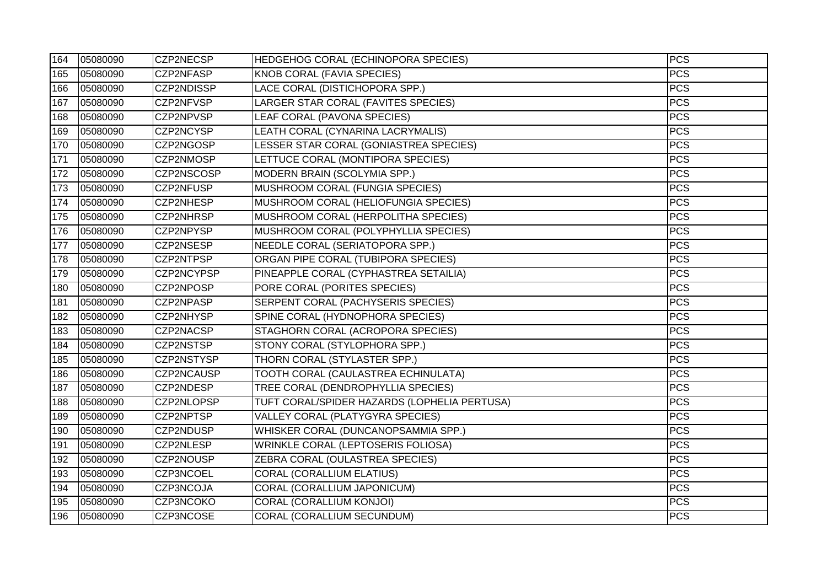| 164 | 05080090 | CZP2NECSP        | <b>HEDGEHOG CORAL (ECHINOPORA SPECIES)</b>   | <b>PCS</b> |
|-----|----------|------------------|----------------------------------------------|------------|
| 165 | 05080090 | CZP2NFASP        | KNOB CORAL (FAVIA SPECIES)                   | PCS        |
| 166 | 05080090 | CZP2NDISSP       | LACE CORAL (DISTICHOPORA SPP.)               | <b>PCS</b> |
| 167 | 05080090 | CZP2NFVSP        | LARGER STAR CORAL (FAVITES SPECIES)          | <b>PCS</b> |
| 168 | 05080090 | CZP2NPVSP        | LEAF CORAL (PAVONA SPECIES)                  | <b>PCS</b> |
| 169 | 05080090 | CZP2NCYSP        | LEATH CORAL (CYNARINA LACRYMALIS)            | <b>PCS</b> |
| 170 | 05080090 | CZP2NGOSP        | LESSER STAR CORAL (GONIASTREA SPECIES)       | <b>PCS</b> |
| 171 | 05080090 | CZP2NMOSP        | LETTUCE CORAL (MONTIPORA SPECIES)            | <b>PCS</b> |
| 172 | 05080090 | CZP2NSCOSP       | MODERN BRAIN (SCOLYMIA SPP.)                 | <b>PCS</b> |
| 173 | 05080090 | CZP2NFUSP        | MUSHROOM CORAL (FUNGIA SPECIES)              | <b>PCS</b> |
| 174 | 05080090 | CZP2NHESP        | MUSHROOM CORAL (HELIOFUNGIA SPECIES)         | <b>PCS</b> |
| 175 | 05080090 | <b>CZP2NHRSP</b> | MUSHROOM CORAL (HERPOLITHA SPECIES)          | <b>PCS</b> |
| 176 | 05080090 | CZP2NPYSP        | MUSHROOM CORAL (POLYPHYLLIA SPECIES)         | <b>PCS</b> |
| 177 | 05080090 | CZP2NSESP        | NEEDLE CORAL (SERIATOPORA SPP.)              | <b>PCS</b> |
| 178 | 05080090 | CZP2NTPSP        | ORGAN PIPE CORAL (TUBIPORA SPECIES)          | <b>PCS</b> |
| 179 | 05080090 | CZP2NCYPSP       | PINEAPPLE CORAL (CYPHASTREA SETAILIA)        | <b>PCS</b> |
| 180 | 05080090 | CZP2NPOSP        | PORE CORAL (PORITES SPECIES)                 | <b>PCS</b> |
| 181 | 05080090 | CZP2NPASP        | SERPENT CORAL (PACHYSERIS SPECIES)           | <b>PCS</b> |
| 182 | 05080090 | CZP2NHYSP        | SPINE CORAL (HYDNOPHORA SPECIES)             | <b>PCS</b> |
| 183 | 05080090 | CZP2NACSP        | STAGHORN CORAL (ACROPORA SPECIES)            | <b>PCS</b> |
| 184 | 05080090 | CZP2NSTSP        | STONY CORAL (STYLOPHORA SPP.)                | <b>PCS</b> |
| 185 | 05080090 | CZP2NSTYSP       | THORN CORAL (STYLASTER SPP.)                 | <b>PCS</b> |
| 186 | 05080090 | CZP2NCAUSP       | TOOTH CORAL (CAULASTREA ECHINULATA)          | <b>PCS</b> |
| 187 | 05080090 | CZP2NDESP        | TREE CORAL (DENDROPHYLLIA SPECIES)           | <b>PCS</b> |
| 188 | 05080090 | CZP2NLOPSP       | TUFT CORAL/SPIDER HAZARDS (LOPHELIA PERTUSA) | <b>PCS</b> |
| 189 | 05080090 | CZP2NPTSP        | <b>VALLEY CORAL (PLATYGYRA SPECIES)</b>      | <b>PCS</b> |
| 190 | 05080090 | CZP2NDUSP        | WHISKER CORAL (DUNCANOPSAMMIA SPP.)          | <b>PCS</b> |
| 191 | 05080090 | CZP2NLESP        | <b>WRINKLE CORAL (LEPTOSERIS FOLIOSA)</b>    | <b>PCS</b> |
| 192 | 05080090 | CZP2NOUSP        | ZEBRA CORAL (OULASTREA SPECIES)              | <b>PCS</b> |
| 193 | 05080090 | CZP3NCOEL        | <b>CORAL (CORALLIUM ELATIUS)</b>             | <b>PCS</b> |
| 194 | 05080090 | CZP3NCOJA        | <b>CORAL (CORALLIUM JAPONICUM)</b>           | <b>PCS</b> |
| 195 | 05080090 | CZP3NCOKO        | CORAL (CORALLIUM KONJOI)                     | <b>PCS</b> |
| 196 | 05080090 | CZP3NCOSE        | <b>CORAL (CORALLIUM SECUNDUM)</b>            | <b>PCS</b> |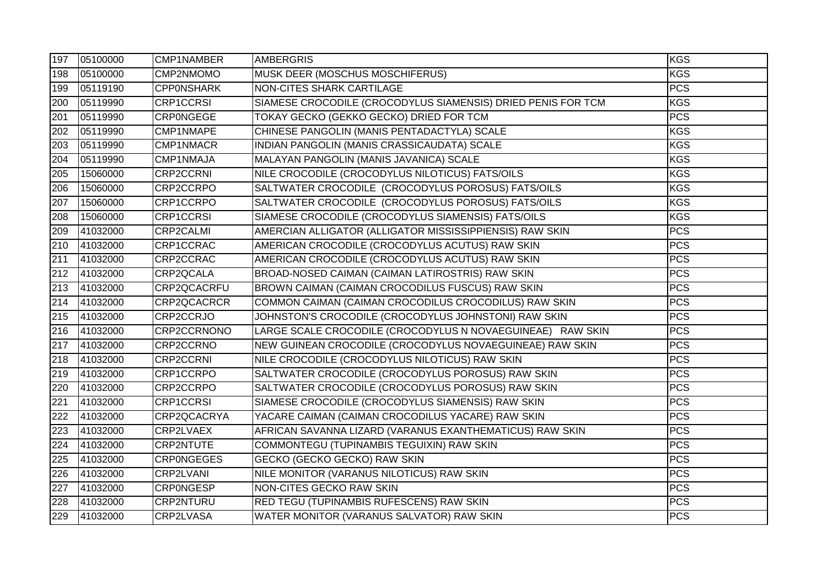| 197 | 05100000 | CMP1NAMBER        | AMBERGRIS                                                    | KGS              |
|-----|----------|-------------------|--------------------------------------------------------------|------------------|
| 198 | 05100000 | CMP2NMOMO         | <b>MUSK DEER (MOSCHUS MOSCHIFERUS)</b>                       | <b>KGS</b>       |
| 199 | 05119190 | <b>CPPONSHARK</b> | NON-CITES SHARK CARTILAGE                                    | <b>PCS</b>       |
| 200 | 05119990 | <b>CRP1CCRSI</b>  | SIAMESE CROCODILE (CROCODYLUS SIAMENSIS) DRIED PENIS FOR TCM | <b>KGS</b>       |
| 201 | 05119990 | <b>CRPONGEGE</b>  | TOKAY GECKO (GEKKO GECKO) DRIED FOR TCM                      | <b>PCS</b>       |
| 202 | 05119990 | CMP1NMAPE         | CHINESE PANGOLIN (MANIS PENTADACTYLA) SCALE                  | KGS              |
| 203 | 05119990 | CMP1NMACR         | INDIAN PANGOLIN (MANIS CRASSICAUDATA) SCALE                  | <b>KGS</b>       |
| 204 | 05119990 | CMP1NMAJA         | MALAYAN PANGOLIN (MANIS JAVANICA) SCALE                      | <b>KGS</b>       |
| 205 | 15060000 | <b>CRP2CCRNI</b>  | NILE CROCODILE (CROCODYLUS NILOTICUS) FATS/OILS              | <b>KGS</b>       |
| 206 | 15060000 | CRP2CCRPO         | SALTWATER CROCODILE (CROCODYLUS POROSUS) FATS/OILS           | <b>KGS</b>       |
| 207 | 15060000 | CRP1CCRPO         | SALTWATER CROCODILE (CROCODYLUS POROSUS) FATS/OILS           | <b>KGS</b>       |
| 208 | 15060000 | <b>CRP1CCRSI</b>  | SIAMESE CROCODILE (CROCODYLUS SIAMENSIS) FATS/OILS           | <b>KGS</b>       |
| 209 | 41032000 | CRP2CALMI         | AMERCIAN ALLIGATOR (ALLIGATOR MISSISSIPPIENSIS) RAW SKIN     | <b>PCS</b>       |
| 210 | 41032000 | CRP1CCRAC         | AMERICAN CROCODILE (CROCODYLUS ACUTUS) RAW SKIN              | <b>PCS</b>       |
| 211 | 41032000 | CRP2CCRAC         | AMERICAN CROCODILE (CROCODYLUS ACUTUS) RAW SKIN              | <b>PCS</b>       |
| 212 | 41032000 | CRP2QCALA         | BROAD-NOSED CAIMAN (CAIMAN LATIROSTRIS) RAW SKIN             | <b>PCS</b>       |
| 213 | 41032000 | CRP2QCACRFU       | BROWN CAIMAN (CAIMAN CROCODILUS FUSCUS) RAW SKIN             | <b>PCS</b>       |
| 214 | 41032000 | CRP2QCACRCR       | COMMON CAIMAN (CAIMAN CROCODILUS CROCODILUS) RAW SKIN        | <b>PCS</b>       |
| 215 | 41032000 | CRP2CCRJO         | JOHNSTON'S CROCODILE (CROCODYLUS JOHNSTONI) RAW SKIN         | <b>PCS</b>       |
| 216 | 41032000 | CRP2CCRNONO       | LARGE SCALE CROCODILE (CROCODYLUS N NOVAEGUINEAE) RAW SKIN   | <b>PCS</b>       |
| 217 | 41032000 | CRP2CCRNO         | NEW GUINEAN CROCODILE (CROCODYLUS NOVAEGUINEAE) RAW SKIN     | $\overline{PCS}$ |
| 218 | 41032000 | <b>CRP2CCRNI</b>  | NILE CROCODILE (CROCODYLUS NILOTICUS) RAW SKIN               | <b>PCS</b>       |
| 219 | 41032000 | CRP1CCRPO         | SALTWATER CROCODILE (CROCODYLUS POROSUS) RAW SKIN            | <b>PCS</b>       |
| 220 | 41032000 | CRP2CCRPO         | SALTWATER CROCODILE (CROCODYLUS POROSUS) RAW SKIN            | <b>PCS</b>       |
| 221 | 41032000 | <b>CRP1CCRSI</b>  | SIAMESE CROCODILE (CROCODYLUS SIAMENSIS) RAW SKIN            | <b>PCS</b>       |
| 222 | 41032000 | CRP2QCACRYA       | YACARE CAIMAN (CAIMAN CROCODILUS YACARE) RAW SKIN            | <b>PCS</b>       |
| 223 | 41032000 | CRP2LVAEX         | AFRICAN SAVANNA LIZARD (VARANUS EXANTHEMATICUS) RAW SKIN     | <b>PCS</b>       |
| 224 | 41032000 | <b>CRP2NTUTE</b>  | COMMONTEGU (TUPINAMBIS TEGUIXIN) RAW SKIN                    | <b>PCS</b>       |
| 225 | 41032000 | <b>CRPONGEGES</b> | GECKO (GECKO GECKO) RAW SKIN                                 | <b>PCS</b>       |
| 226 | 41032000 | CRP2LVANI         | NILE MONITOR (VARANUS NILOTICUS) RAW SKIN                    | <b>PCS</b>       |
| 227 | 41032000 | <b>CRPONGESP</b>  | NON-CITES GECKO RAW SKIN                                     | <b>PCS</b>       |
| 228 | 41032000 | <b>CRP2NTURU</b>  | <b>RED TEGU (TUPINAMBIS RUFESCENS) RAW SKIN</b>              | <b>PCS</b>       |
| 229 | 41032000 | CRP2LVASA         | WATER MONITOR (VARANUS SALVATOR) RAW SKIN                    | <b>PCS</b>       |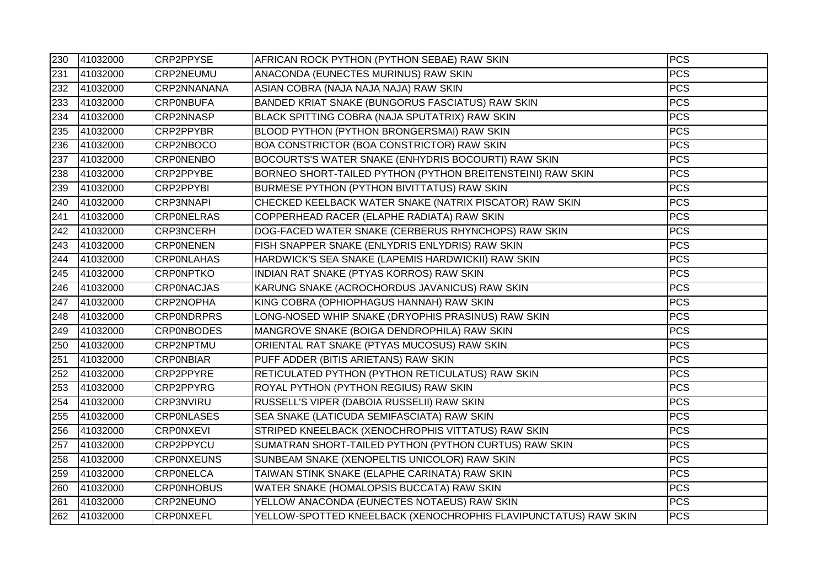| 230 | 41032000 | CRP2PPYSE         | AFRICAN ROCK PYTHON (PYTHON SEBAE) RAW SKIN                     | <b>PCS</b> |
|-----|----------|-------------------|-----------------------------------------------------------------|------------|
| 231 | 41032000 | CRP2NEUMU         | ANACONDA (EUNECTES MURINUS) RAW SKIN                            | <b>PCS</b> |
| 232 | 41032000 | CRP2NNANANA       | ASIAN COBRA (NAJA NAJA NAJA) RAW SKIN                           | <b>PCS</b> |
| 233 | 41032000 | <b>CRPONBUFA</b>  | BANDED KRIAT SNAKE (BUNGORUS FASCIATUS) RAW SKIN                | <b>PCS</b> |
| 234 | 41032000 | CRP2NNASP         | BLACK SPITTING COBRA (NAJA SPUTATRIX) RAW SKIN                  | <b>PCS</b> |
| 235 | 41032000 | CRP2PPYBR         | BLOOD PYTHON (PYTHON BRONGERSMAI) RAW SKIN                      | <b>PCS</b> |
| 236 | 41032000 | CRP2NBOCO         | BOA CONSTRICTOR (BOA CONSTRICTOR) RAW SKIN                      | <b>PCS</b> |
| 237 | 41032000 | <b>CRPONENBO</b>  | BOCOURTS'S WATER SNAKE (ENHYDRIS BOCOURTI) RAW SKIN             | <b>PCS</b> |
| 238 | 41032000 | CRP2PPYBE         | BORNEO SHORT-TAILED PYTHON (PYTHON BREITENSTEINI) RAW SKIN      | <b>PCS</b> |
| 239 | 41032000 | CRP2PPYBI         | BURMESE PYTHON (PYTHON BIVITTATUS) RAW SKIN                     | <b>PCS</b> |
| 240 | 41032000 | <b>CRP3NNAPI</b>  | CHECKED KEELBACK WATER SNAKE (NATRIX PISCATOR) RAW SKIN         | <b>PCS</b> |
| 241 | 41032000 | <b>CRPONELRAS</b> | COPPERHEAD RACER (ELAPHE RADIATA) RAW SKIN                      | <b>PCS</b> |
| 242 | 41032000 | <b>CRP3NCERH</b>  | DOG-FACED WATER SNAKE (CERBERUS RHYNCHOPS) RAW SKIN             | <b>PCS</b> |
| 243 | 41032000 | <b>CRPONENEN</b>  | FISH SNAPPER SNAKE (ENLYDRIS ENLYDRIS) RAW SKIN                 | <b>PCS</b> |
| 244 | 41032000 | <b>CRPONLAHAS</b> | HARDWICK'S SEA SNAKE (LAPEMIS HARDWICKII) RAW SKIN              | <b>PCS</b> |
| 245 | 41032000 | <b>CRPONPTKO</b>  | INDIAN RAT SNAKE (PTYAS KORROS) RAW SKIN                        | <b>PCS</b> |
| 246 | 41032000 | <b>CRPONACJAS</b> | KARUNG SNAKE (ACROCHORDUS JAVANICUS) RAW SKIN                   | <b>PCS</b> |
| 247 | 41032000 | CRP2NOPHA         | KING COBRA (OPHIOPHAGUS HANNAH) RAW SKIN                        | <b>PCS</b> |
| 248 | 41032000 | <b>CRPONDRPRS</b> | LONG-NOSED WHIP SNAKE (DRYOPHIS PRASINUS) RAW SKIN              | <b>PCS</b> |
| 249 | 41032000 | <b>CRP0NBODES</b> | MANGROVE SNAKE (BOIGA DENDROPHILA) RAW SKIN                     | <b>PCS</b> |
| 250 | 41032000 | CRP2NPTMU         | ORIENTAL RAT SNAKE (PTYAS MUCOSUS) RAW SKIN                     | <b>PCS</b> |
| 251 | 41032000 | <b>CRPONBIAR</b>  | PUFF ADDER (BITIS ARIETANS) RAW SKIN                            | <b>PCS</b> |
| 252 | 41032000 | CRP2PPYRE         | RETICULATED PYTHON (PYTHON RETICULATUS) RAW SKIN                | <b>PCS</b> |
| 253 | 41032000 | CRP2PPYRG         | ROYAL PYTHON (PYTHON REGIUS) RAW SKIN                           | <b>PCS</b> |
| 254 | 41032000 | CRP3NVIRU         | RUSSELL'S VIPER (DABOIA RUSSELII) RAW SKIN                      | <b>PCS</b> |
| 255 | 41032000 | <b>CRPONLASES</b> | SEA SNAKE (LATICUDA SEMIFASCIATA) RAW SKIN                      | <b>PCS</b> |
| 256 | 41032000 | <b>CRPONXEVI</b>  | STRIPED KNEELBACK (XENOCHROPHIS VITTATUS) RAW SKIN              | <b>PCS</b> |
| 257 | 41032000 | CRP2PPYCU         | SUMATRAN SHORT-TAILED PYTHON (PYTHON CURTUS) RAW SKIN           | <b>PCS</b> |
| 258 | 41032000 | <b>CRPONXEUNS</b> | SUNBEAM SNAKE (XENOPELTIS UNICOLOR) RAW SKIN                    | <b>PCS</b> |
| 259 | 41032000 | <b>CRPONELCA</b>  | TAIWAN STINK SNAKE (ELAPHE CARINATA) RAW SKIN                   | <b>PCS</b> |
| 260 | 41032000 | <b>CRP0NHOBUS</b> | WATER SNAKE (HOMALOPSIS BUCCATA) RAW SKIN                       | <b>PCS</b> |
| 261 | 41032000 | CRP2NEUNO         | YELLOW ANACONDA (EUNECTES NOTAEUS) RAW SKIN                     | <b>PCS</b> |
| 262 | 41032000 | <b>CRPONXEFL</b>  | YELLOW-SPOTTED KNEELBACK (XENOCHROPHIS FLAVIPUNCTATUS) RAW SKIN | <b>PCS</b> |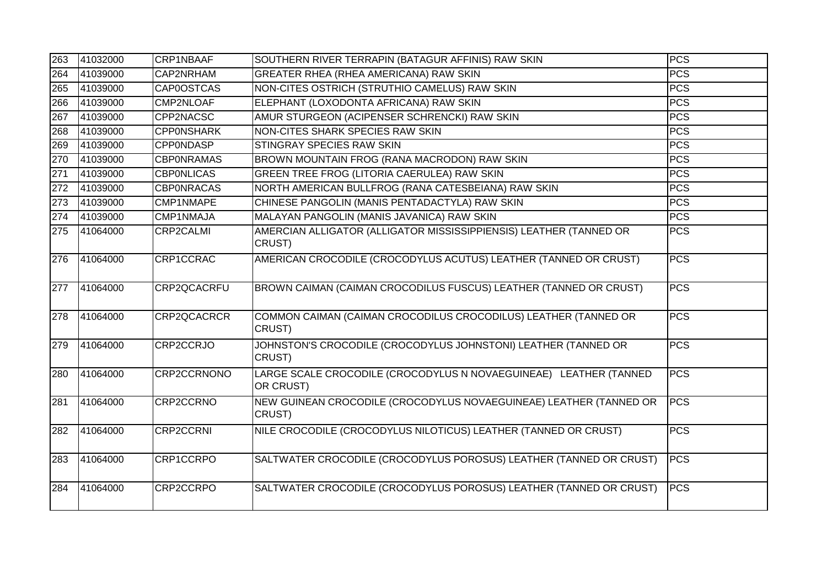| 263 | 41032000 | CRP1NBAAF         | SOUTHERN RIVER TERRAPIN (BATAGUR AFFINIS) RAW SKIN                             | <b>PCS</b>  |
|-----|----------|-------------------|--------------------------------------------------------------------------------|-------------|
| 264 | 41039000 | CAP2NRHAM         | <b>GREATER RHEA (RHEA AMERICANA) RAW SKIN</b>                                  | <b>PCS</b>  |
| 265 | 41039000 | <b>CAP0OSTCAS</b> | NON-CITES OSTRICH (STRUTHIO CAMELUS) RAW SKIN                                  | <b>PCS</b>  |
| 266 | 41039000 | CMP2NLOAF         | ELEPHANT (LOXODONTA AFRICANA) RAW SKIN                                         | <b>PCS</b>  |
| 267 | 41039000 | CPP2NACSC         | AMUR STURGEON (ACIPENSER SCHRENCKI) RAW SKIN                                   | <b>PCS</b>  |
| 268 | 41039000 | <b>CPPONSHARK</b> | NON-CITES SHARK SPECIES RAW SKIN                                               | PCS         |
| 269 | 41039000 | <b>CPPONDASP</b>  | STINGRAY SPECIES RAW SKIN                                                      | <b>PCS</b>  |
| 270 | 41039000 | <b>CBPONRAMAS</b> | BROWN MOUNTAIN FROG (RANA MACRODON) RAW SKIN                                   | <b>PCS</b>  |
| 271 | 41039000 | <b>CBPONLICAS</b> | GREEN TREE FROG (LITORIA CAERULEA) RAW SKIN                                    | <b>PCS</b>  |
| 272 | 41039000 | <b>CBPONRACAS</b> | NORTH AMERICAN BULLFROG (RANA CATESBEIANA) RAW SKIN                            | <b>PCS</b>  |
| 273 | 41039000 | CMP1NMAPE         | CHINESE PANGOLIN (MANIS PENTADACTYLA) RAW SKIN                                 | <b>PCS</b>  |
| 274 | 41039000 | CMP1NMAJA         | MALAYAN PANGOLIN (MANIS JAVANICA) RAW SKIN                                     | <b>PCS</b>  |
| 275 | 41064000 | CRP2CALMI         | AMERCIAN ALLIGATOR (ALLIGATOR MISSISSIPPIENSIS) LEATHER (TANNED OR<br>CRUST)   | <b>PCS</b>  |
| 276 | 41064000 | CRP1CCRAC         | AMERICAN CROCODILE (CROCODYLUS ACUTUS) LEATHER (TANNED OR CRUST)               | <b>PCS</b>  |
| 277 | 41064000 | CRP2QCACRFU       | BROWN CAIMAN (CAIMAN CROCODILUS FUSCUS) LEATHER (TANNED OR CRUST)              | <b>PCS</b>  |
| 278 | 41064000 | CRP2QCACRCR       | COMMON CAIMAN (CAIMAN CROCODILUS CROCODILUS) LEATHER (TANNED OR<br>CRUST)      | <b>PCS</b>  |
| 279 | 41064000 | CRP2CCRJO         | JOHNSTON'S CROCODILE (CROCODYLUS JOHNSTONI) LEATHER (TANNED OR<br>CRUST)       | <b>PCS</b>  |
| 280 | 41064000 | CRP2CCRNONO       | LARGE SCALE CROCODILE (CROCODYLUS N NOVAEGUINEAE) LEATHER (TANNED<br>OR CRUST) | <b>PCS</b>  |
| 281 | 41064000 | CRP2CCRNO         | NEW GUINEAN CROCODILE (CROCODYLUS NOVAEGUINEAE) LEATHER (TANNED OR<br>CRUST)   | <b>PCS</b>  |
| 282 | 41064000 | <b>CRP2CCRNI</b>  | NILE CROCODILE (CROCODYLUS NILOTICUS) LEATHER (TANNED OR CRUST)                | <b>PCS</b>  |
| 283 | 41064000 | CRP1CCRPO         | SALTWATER CROCODILE (CROCODYLUS POROSUS) LEATHER (TANNED OR CRUST)             | <b>PCS</b>  |
| 284 | 41064000 | CRP2CCRPO         | SALTWATER CROCODILE (CROCODYLUS POROSUS) LEATHER (TANNED OR CRUST)             | <b>IPCS</b> |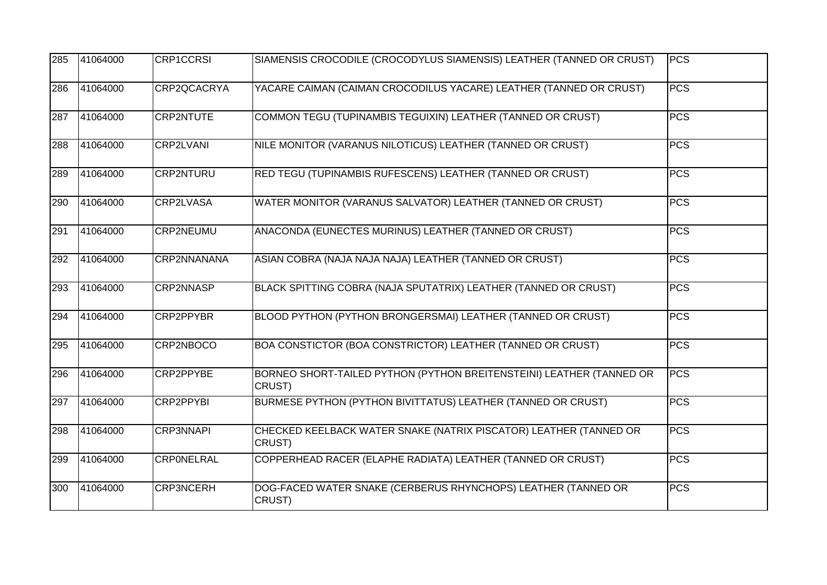| 285 | 41064000 | <b>CRP1CCRSI</b>   | SIAMENSIS CROCODILE (CROCODYLUS SIAMENSIS) LEATHER (TANNED OR CRUST)           | <b>PCS</b> |
|-----|----------|--------------------|--------------------------------------------------------------------------------|------------|
| 286 | 41064000 | CRP2QCACRYA        | YACARE CAIMAN (CAIMAN CROCODILUS YACARE) LEATHER (TANNED OR CRUST)             | PCS        |
| 287 | 41064000 | <b>CRP2NTUTE</b>   | COMMON TEGU (TUPINAMBIS TEGUIXIN) LEATHER (TANNED OR CRUST)                    | <b>PCS</b> |
| 288 | 41064000 | <b>CRP2LVANI</b>   | NILE MONITOR (VARANUS NILOTICUS) LEATHER (TANNED OR CRUST)                     | <b>PCS</b> |
| 289 | 41064000 | <b>CRP2NTURU</b>   | RED TEGU (TUPINAMBIS RUFESCENS) LEATHER (TANNED OR CRUST)                      | <b>PCS</b> |
| 290 | 41064000 | <b>CRP2LVASA</b>   | WATER MONITOR (VARANUS SALVATOR) LEATHER (TANNED OR CRUST)                     | <b>PCS</b> |
| 291 | 41064000 | CRP2NEUMU          | ANACONDA (EUNECTES MURINUS) LEATHER (TANNED OR CRUST)                          | <b>PCS</b> |
| 292 | 41064000 | <b>CRP2NNANANA</b> | ASIAN COBRA (NAJA NAJA NAJA) LEATHER (TANNED OR CRUST)                         | <b>PCS</b> |
| 293 | 41064000 | <b>CRP2NNASP</b>   | BLACK SPITTING COBRA (NAJA SPUTATRIX) LEATHER (TANNED OR CRUST)                | <b>PCS</b> |
| 294 | 41064000 | <b>CRP2PPYBR</b>   | BLOOD PYTHON (PYTHON BRONGERSMAI) LEATHER (TANNED OR CRUST)                    | <b>PCS</b> |
| 295 | 41064000 | CRP2NBOCO          | BOA CONSTICTOR (BOA CONSTRICTOR) LEATHER (TANNED OR CRUST)                     | <b>PCS</b> |
| 296 | 41064000 | CRP2PPYBE          | BORNEO SHORT-TAILED PYTHON (PYTHON BREITENSTEINI) LEATHER (TANNED OR<br>CRUST) | PCS        |
| 297 | 41064000 | CRP2PPYBI          | BURMESE PYTHON (PYTHON BIVITTATUS) LEATHER (TANNED OR CRUST)                   | <b>PCS</b> |
| 298 | 41064000 | <b>CRP3NNAPI</b>   | CHECKED KEELBACK WATER SNAKE (NATRIX PISCATOR) LEATHER (TANNED OR<br>CRUST)    | <b>PCS</b> |
| 299 | 41064000 | <b>CRPONELRAL</b>  | COPPERHEAD RACER (ELAPHE RADIATA) LEATHER (TANNED OR CRUST)                    | <b>PCS</b> |
| 300 | 41064000 | <b>CRP3NCERH</b>   | DOG-FACED WATER SNAKE (CERBERUS RHYNCHOPS) LEATHER (TANNED OR<br>CRUST)        | <b>PCS</b> |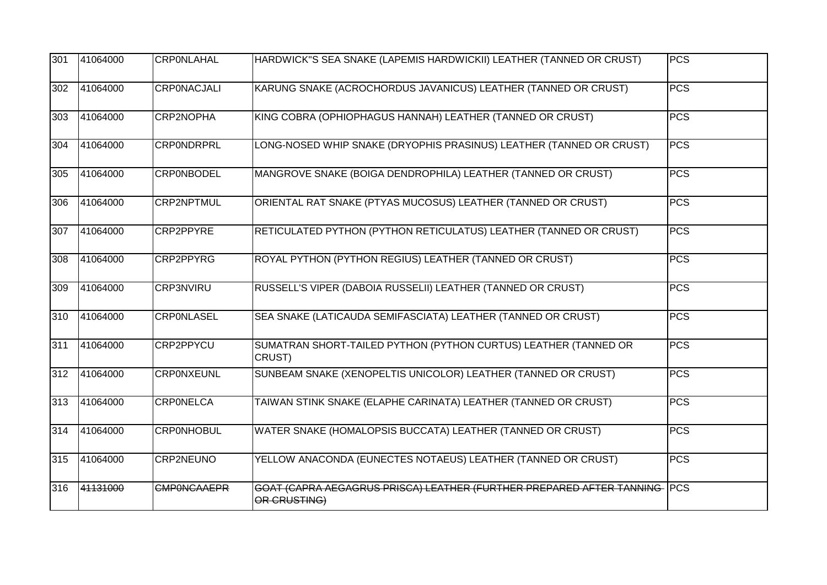| 301 | 41064000 | <b>CRPONLAHAL</b>  | HARDWICK"S SEA SNAKE (LAPEMIS HARDWICKII) LEATHER (TANNED OR CRUST)                      | <b>PCS</b> |
|-----|----------|--------------------|------------------------------------------------------------------------------------------|------------|
| 302 | 41064000 | <b>CRPONACJALI</b> | KARUNG SNAKE (ACROCHORDUS JAVANICUS) LEATHER (TANNED OR CRUST)                           | <b>PCS</b> |
| 303 | 41064000 | CRP2NOPHA          | KING COBRA (OPHIOPHAGUS HANNAH) LEATHER (TANNED OR CRUST)                                | <b>PCS</b> |
| 304 | 41064000 | <b>CRPONDRPRL</b>  | LONG-NOSED WHIP SNAKE (DRYOPHIS PRASINUS) LEATHER (TANNED OR CRUST)                      | <b>PCS</b> |
| 305 | 41064000 | <b>CRPONBODEL</b>  | MANGROVE SNAKE (BOIGA DENDROPHILA) LEATHER (TANNED OR CRUST)                             | <b>PCS</b> |
| 306 | 41064000 | <b>CRP2NPTMUL</b>  | ORIENTAL RAT SNAKE (PTYAS MUCOSUS) LEATHER (TANNED OR CRUST)                             | <b>PCS</b> |
| 307 | 41064000 | CRP2PPYRE          | RETICULATED PYTHON (PYTHON RETICULATUS) LEATHER (TANNED OR CRUST)                        | <b>PCS</b> |
| 308 | 41064000 | <b>CRP2PPYRG</b>   | ROYAL PYTHON (PYTHON REGIUS) LEATHER (TANNED OR CRUST)                                   | <b>PCS</b> |
| 309 | 41064000 | <b>CRP3NVIRU</b>   | RUSSELL'S VIPER (DABOIA RUSSELII) LEATHER (TANNED OR CRUST)                              | PCS        |
| 310 | 41064000 | <b>CRPONLASEL</b>  | SEA SNAKE (LATICAUDA SEMIFASCIATA) LEATHER (TANNED OR CRUST)                             | <b>PCS</b> |
| 311 | 41064000 | CRP2PPYCU          | SUMATRAN SHORT-TAILED PYTHON (PYTHON CURTUS) LEATHER (TANNED OR<br>CRUST)                | PCS        |
| 312 | 41064000 | <b>CRPONXEUNL</b>  | SUNBEAM SNAKE (XENOPELTIS UNICOLOR) LEATHER (TANNED OR CRUST)                            | <b>PCS</b> |
| 313 | 41064000 | <b>CRPONELCA</b>   | TAIWAN STINK SNAKE (ELAPHE CARINATA) LEATHER (TANNED OR CRUST)                           | <b>PCS</b> |
| 314 | 41064000 | <b>CRPONHOBUL</b>  | WATER SNAKE (HOMALOPSIS BUCCATA) LEATHER (TANNED OR CRUST)                               | <b>PCS</b> |
| 315 | 41064000 | CRP2NEUNO          | YELLOW ANACONDA (EUNECTES NOTAEUS) LEATHER (TANNED OR CRUST)                             | <b>PCS</b> |
| 316 | 41131000 | <b>CMPONCAAEPR</b> | GOAT (CAPRA AEGAGRUS PRISCA) LEATHER (FURTHER PREPARED AFTER TANNING PCS<br>OR CRUSTING) |            |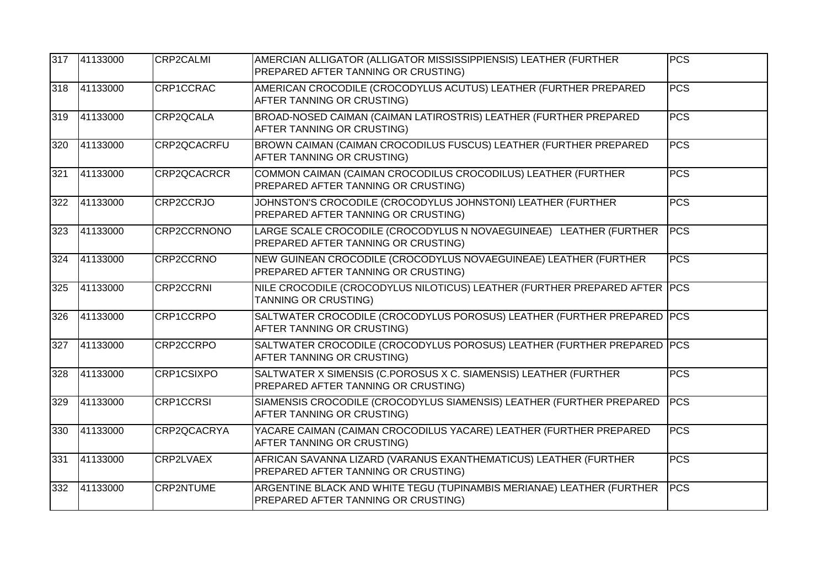| 317 | 41133000 | <b>CRP2CALMI</b> | AMERCIAN ALLIGATOR (ALLIGATOR MISSISSIPPIENSIS) LEATHER (FURTHER<br>PREPARED AFTER TANNING OR CRUSTING)      | <b>PCS</b> |
|-----|----------|------------------|--------------------------------------------------------------------------------------------------------------|------------|
| 318 | 41133000 | CRP1CCRAC        | AMERICAN CROCODILE (CROCODYLUS ACUTUS) LEATHER (FURTHER PREPARED<br>AFTER TANNING OR CRUSTING)               | <b>PCS</b> |
| 319 | 41133000 | CRP2QCALA        | BROAD-NOSED CAIMAN (CAIMAN LATIROSTRIS) LEATHER (FURTHER PREPARED<br>AFTER TANNING OR CRUSTING)              | <b>PCS</b> |
| 320 | 41133000 | CRP2QCACRFU      | BROWN CAIMAN (CAIMAN CROCODILUS FUSCUS) LEATHER (FURTHER PREPARED<br>AFTER TANNING OR CRUSTING)              | <b>PCS</b> |
| 321 | 41133000 | CRP2QCACRCR      | COMMON CAIMAN (CAIMAN CROCODILUS CROCODILUS) LEATHER (FURTHER<br>PREPARED AFTER TANNING OR CRUSTING)         | <b>PCS</b> |
| 322 | 41133000 | CRP2CCRJO        | JOHNSTON'S CROCODILE (CROCODYLUS JOHNSTONI) LEATHER (FURTHER<br>PREPARED AFTER TANNING OR CRUSTING)          | <b>PCS</b> |
| 323 | 41133000 | CRP2CCRNONO      | LARGE SCALE CROCODILE (CROCODYLUS N NOVAEGUINEAE) LEATHER (FURTHER<br>PREPARED AFTER TANNING OR CRUSTING)    | <b>PCS</b> |
| 324 | 41133000 | CRP2CCRNO        | NEW GUINEAN CROCODILE (CROCODYLUS NOVAEGUINEAE) LEATHER (FURTHER<br>PREPARED AFTER TANNING OR CRUSTING)      | <b>PCS</b> |
| 325 | 41133000 | <b>CRP2CCRNI</b> | NILE CROCODILE (CROCODYLUS NILOTICUS) LEATHER (FURTHER PREPARED AFTER PCS<br><b>TANNING OR CRUSTING)</b>     |            |
| 326 | 41133000 | CRP1CCRPO        | SALTWATER CROCODILE (CROCODYLUS POROSUS) LEATHER (FURTHER PREPARED PCS<br>AFTER TANNING OR CRUSTING)         |            |
| 327 | 41133000 | CRP2CCRPO        | SALTWATER CROCODILE (CROCODYLUS POROSUS) LEATHER (FURTHER PREPARED PCS<br>AFTER TANNING OR CRUSTING)         |            |
| 328 | 41133000 | CRP1CSIXPO       | SALTWATER X SIMENSIS (C.POROSUS X C. SIAMENSIS) LEATHER (FURTHER<br>PREPARED AFTER TANNING OR CRUSTING)      | <b>PCS</b> |
| 329 | 41133000 | <b>CRP1CCRSI</b> | SIAMENSIS CROCODILE (CROCODYLUS SIAMENSIS) LEATHER (FURTHER PREPARED<br>AFTER TANNING OR CRUSTING)           | <b>PCS</b> |
| 330 | 41133000 | CRP2QCACRYA      | YACARE CAIMAN (CAIMAN CROCODILUS YACARE) LEATHER (FURTHER PREPARED<br>AFTER TANNING OR CRUSTING)             | PCS        |
| 331 | 41133000 | CRP2LVAEX        | AFRICAN SAVANNA LIZARD (VARANUS EXANTHEMATICUS) LEATHER (FURTHER<br>PREPARED AFTER TANNING OR CRUSTING)      | <b>PCS</b> |
| 332 | 41133000 | <b>CRP2NTUME</b> | ARGENTINE BLACK AND WHITE TEGU (TUPINAMBIS MERIANAE) LEATHER (FURTHER<br>PREPARED AFTER TANNING OR CRUSTING) | <b>PCS</b> |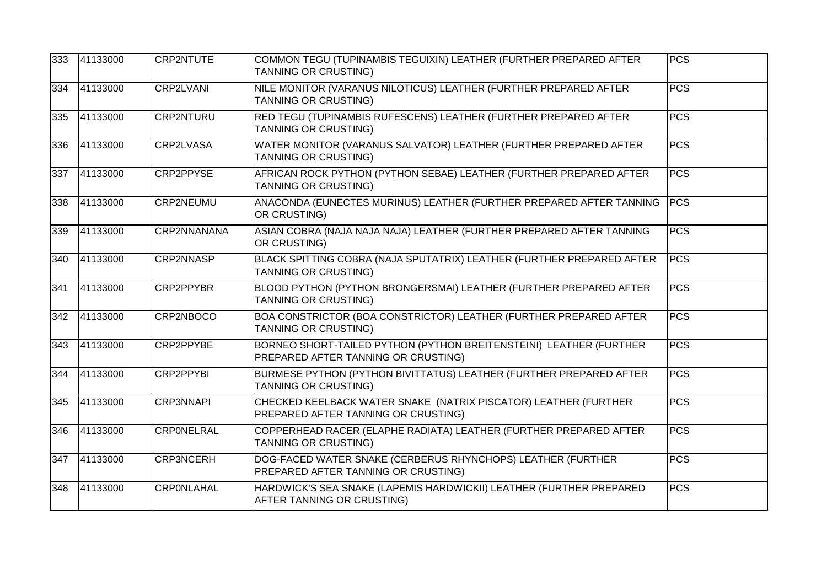| 333 | 41133000 | <b>CRP2NTUTE</b>  | COMMON TEGU (TUPINAMBIS TEGUIXIN) LEATHER (FURTHER PREPARED AFTER<br>TANNING OR CRUSTING)                 | <b>PCS</b> |
|-----|----------|-------------------|-----------------------------------------------------------------------------------------------------------|------------|
| 334 | 41133000 | <b>CRP2LVANI</b>  | NILE MONITOR (VARANUS NILOTICUS) LEATHER (FURTHER PREPARED AFTER<br><b>TANNING OR CRUSTING)</b>           | <b>PCS</b> |
| 335 | 41133000 | <b>CRP2NTURU</b>  | RED TEGU (TUPINAMBIS RUFESCENS) LEATHER (FURTHER PREPARED AFTER<br><b>TANNING OR CRUSTING)</b>            | <b>PCS</b> |
| 336 | 41133000 | <b>CRP2LVASA</b>  | WATER MONITOR (VARANUS SALVATOR) LEATHER (FURTHER PREPARED AFTER<br>TANNING OR CRUSTING)                  | <b>PCS</b> |
| 337 | 41133000 | <b>CRP2PPYSE</b>  | AFRICAN ROCK PYTHON (PYTHON SEBAE) LEATHER (FURTHER PREPARED AFTER<br><b>TANNING OR CRUSTING)</b>         | <b>PCS</b> |
| 338 | 41133000 | CRP2NEUMU         | ANACONDA (EUNECTES MURINUS) LEATHER (FURTHER PREPARED AFTER TANNING<br>OR CRUSTING)                       | <b>PCS</b> |
| 339 | 41133000 | CRP2NNANANA       | ASIAN COBRA (NAJA NAJA NAJA) LEATHER (FURTHER PREPARED AFTER TANNING<br>OR CRUSTING)                      | <b>PCS</b> |
| 340 | 41133000 | <b>CRP2NNASP</b>  | BLACK SPITTING COBRA (NAJA SPUTATRIX) LEATHER (FURTHER PREPARED AFTER<br><b>TANNING OR CRUSTING)</b>      | <b>PCS</b> |
| 341 | 41133000 | <b>CRP2PPYBR</b>  | BLOOD PYTHON (PYTHON BRONGERSMAI) LEATHER (FURTHER PREPARED AFTER<br><b>TANNING OR CRUSTING)</b>          | <b>PCS</b> |
| 342 | 41133000 | CRP2NBOCO         | BOA CONSTRICTOR (BOA CONSTRICTOR) LEATHER (FURTHER PREPARED AFTER<br>TANNING OR CRUSTING)                 | <b>PCS</b> |
| 343 | 41133000 | CRP2PPYBE         | BORNEO SHORT-TAILED PYTHON (PYTHON BREITENSTEINI) LEATHER (FURTHER<br>PREPARED AFTER TANNING OR CRUSTING) | <b>PCS</b> |
| 344 | 41133000 | <b>CRP2PPYBI</b>  | BURMESE PYTHON (PYTHON BIVITTATUS) LEATHER (FURTHER PREPARED AFTER<br><b>TANNING OR CRUSTING)</b>         | <b>PCS</b> |
| 345 | 41133000 | <b>CRP3NNAPI</b>  | CHECKED KEELBACK WATER SNAKE (NATRIX PISCATOR) LEATHER (FURTHER<br>PREPARED AFTER TANNING OR CRUSTING)    | <b>PCS</b> |
| 346 | 41133000 | <b>CRPONELRAL</b> | COPPERHEAD RACER (ELAPHE RADIATA) LEATHER (FURTHER PREPARED AFTER<br><b>TANNING OR CRUSTING)</b>          | <b>PCS</b> |
| 347 | 41133000 | <b>CRP3NCERH</b>  | DOG-FACED WATER SNAKE (CERBERUS RHYNCHOPS) LEATHER (FURTHER<br>PREPARED AFTER TANNING OR CRUSTING)        | <b>PCS</b> |
| 348 | 41133000 | <b>CRPONLAHAL</b> | HARDWICK'S SEA SNAKE (LAPEMIS HARDWICKII) LEATHER (FURTHER PREPARED<br>AFTER TANNING OR CRUSTING)         | <b>PCS</b> |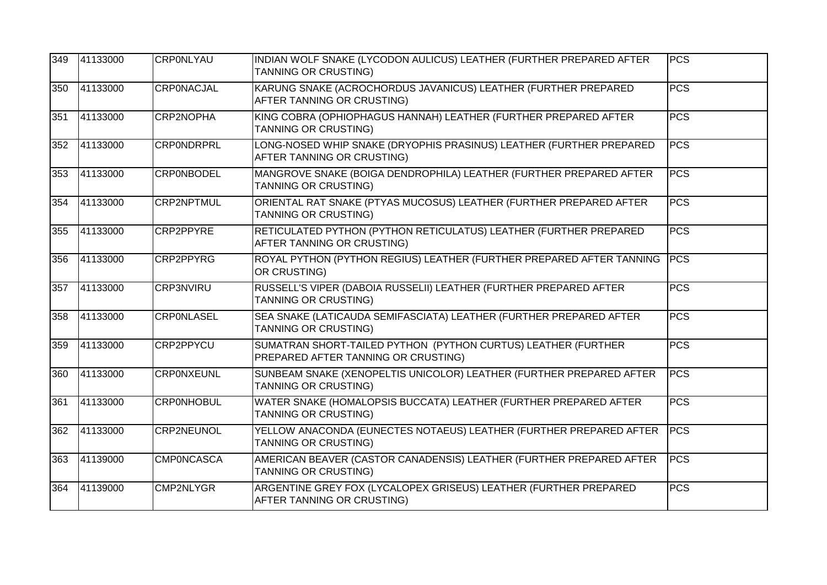| 349 | 41133000 | <b>CRPONLYAU</b>  | INDIAN WOLF SNAKE (LYCODON AULICUS) LEATHER (FURTHER PREPARED AFTER<br>TANNING OR CRUSTING)          | <b>PCS</b> |
|-----|----------|-------------------|------------------------------------------------------------------------------------------------------|------------|
| 350 | 41133000 | <b>CRPONACJAL</b> | KARUNG SNAKE (ACROCHORDUS JAVANICUS) LEATHER (FURTHER PREPARED<br>AFTER TANNING OR CRUSTING)         | <b>PCS</b> |
| 351 | 41133000 | CRP2NOPHA         | KING COBRA (OPHIOPHAGUS HANNAH) LEATHER (FURTHER PREPARED AFTER<br><b>TANNING OR CRUSTING)</b>       | <b>PCS</b> |
| 352 | 41133000 | <b>CRPONDRPRL</b> | LONG-NOSED WHIP SNAKE (DRYOPHIS PRASINUS) LEATHER (FURTHER PREPARED<br>AFTER TANNING OR CRUSTING)    | PCS        |
| 353 | 41133000 | <b>CRPONBODEL</b> | MANGROVE SNAKE (BOIGA DENDROPHILA) LEATHER (FURTHER PREPARED AFTER<br><b>TANNING OR CRUSTING)</b>    | <b>PCS</b> |
| 354 | 41133000 | <b>CRP2NPTMUL</b> | ORIENTAL RAT SNAKE (PTYAS MUCOSUS) LEATHER (FURTHER PREPARED AFTER<br>TANNING OR CRUSTING)           | <b>PCS</b> |
| 355 | 41133000 | CRP2PPYRE         | RETICULATED PYTHON (PYTHON RETICULATUS) LEATHER (FURTHER PREPARED<br>AFTER TANNING OR CRUSTING)      | <b>PCS</b> |
| 356 | 41133000 | <b>CRP2PPYRG</b>  | ROYAL PYTHON (PYTHON REGIUS) LEATHER (FURTHER PREPARED AFTER TANNING<br>OR CRUSTING)                 | <b>PCS</b> |
| 357 | 41133000 | <b>CRP3NVIRU</b>  | RUSSELL'S VIPER (DABOIA RUSSELII) LEATHER (FURTHER PREPARED AFTER<br><b>TANNING OR CRUSTING)</b>     | <b>PCS</b> |
| 358 | 41133000 | <b>CRPONLASEL</b> | SEA SNAKE (LATICAUDA SEMIFASCIATA) LEATHER (FURTHER PREPARED AFTER<br>TANNING OR CRUSTING)           | <b>PCS</b> |
| 359 | 41133000 | CRP2PPYCU         | SUMATRAN SHORT-TAILED PYTHON (PYTHON CURTUS) LEATHER (FURTHER<br>PREPARED AFTER TANNING OR CRUSTING) | <b>PCS</b> |
| 360 | 41133000 | <b>CRPONXEUNL</b> | SUNBEAM SNAKE (XENOPELTIS UNICOLOR) LEATHER (FURTHER PREPARED AFTER<br><b>TANNING OR CRUSTING)</b>   | PCS        |
| 361 | 41133000 | <b>CRPONHOBUL</b> | WATER SNAKE (HOMALOPSIS BUCCATA) LEATHER (FURTHER PREPARED AFTER<br><b>TANNING OR CRUSTING)</b>      | <b>PCS</b> |
| 362 | 41133000 | <b>CRP2NEUNOL</b> | YELLOW ANACONDA (EUNECTES NOTAEUS) LEATHER (FURTHER PREPARED AFTER<br><b>TANNING OR CRUSTING)</b>    | <b>PCS</b> |
| 363 | 41139000 | <b>CMPONCASCA</b> | AMERICAN BEAVER (CASTOR CANADENSIS) LEATHER (FURTHER PREPARED AFTER<br><b>TANNING OR CRUSTING)</b>   | <b>PCS</b> |
| 364 | 41139000 | <b>CMP2NLYGR</b>  | ARGENTINE GREY FOX (LYCALOPEX GRISEUS) LEATHER (FURTHER PREPARED<br>AFTER TANNING OR CRUSTING)       | <b>PCS</b> |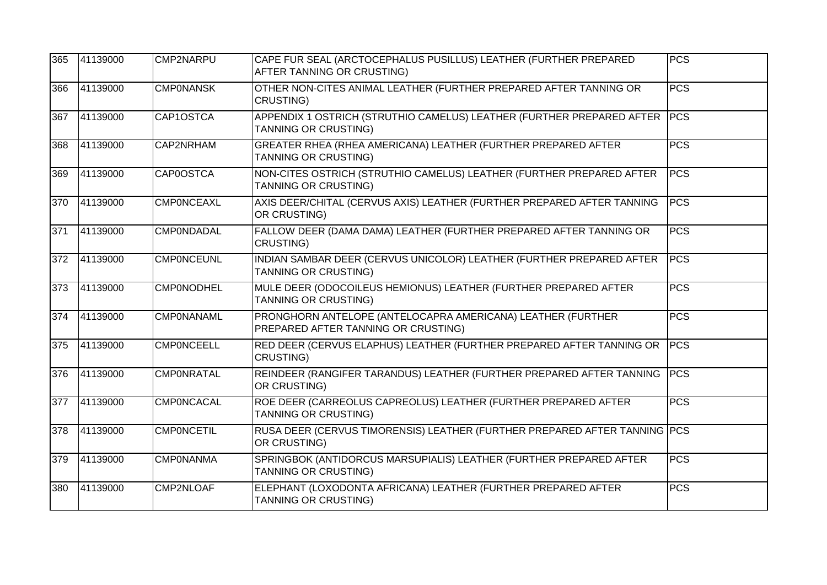| 365 | 41139000          | CMP2NARPU         | CAPE FUR SEAL (ARCTOCEPHALUS PUSILLUS) LEATHER (FURTHER PREPARED<br>AFTER TANNING OR CRUSTING)       | <b>PCS</b>  |
|-----|-------------------|-------------------|------------------------------------------------------------------------------------------------------|-------------|
| 366 | 41139000          | <b>CMPONANSK</b>  | OTHER NON-CITES ANIMAL LEATHER (FURTHER PREPARED AFTER TANNING OR<br><b>CRUSTING)</b>                | <b>PCS</b>  |
| 367 | 41139000          | CAP1OSTCA         | APPENDIX 1 OSTRICH (STRUTHIO CAMELUS) LEATHER (FURTHER PREPARED AFTER<br><b>TANNING OR CRUSTING)</b> | <b>PCS</b>  |
| 368 | 41139000          | CAP2NRHAM         | GREATER RHEA (RHEA AMERICANA) LEATHER (FURTHER PREPARED AFTER<br>TANNING OR CRUSTING)                | <b>PCS</b>  |
| 369 | 41139000          | <b>CAP0OSTCA</b>  | NON-CITES OSTRICH (STRUTHIO CAMELUS) LEATHER (FURTHER PREPARED AFTER<br><b>TANNING OR CRUSTING)</b>  | <b>PCS</b>  |
| 370 | 41139000          | <b>CMPONCEAXL</b> | AXIS DEER/CHITAL (CERVUS AXIS) LEATHER (FURTHER PREPARED AFTER TANNING<br>OR CRUSTING)               | PCS         |
| 371 | 41139000          | <b>CMP0NDADAL</b> | FALLOW DEER (DAMA DAMA) LEATHER (FURTHER PREPARED AFTER TANNING OR<br>CRUSTING)                      | <b>PCS</b>  |
| 372 | 41139000          | <b>CMPONCEUNL</b> | INDIAN SAMBAR DEER (CERVUS UNICOLOR) LEATHER (FURTHER PREPARED AFTER<br><b>TANNING OR CRUSTING)</b>  | <b>PCS</b>  |
| 373 | 41139000          | <b>CMP0NODHEL</b> | MULE DEER (ODOCOILEUS HEMIONUS) LEATHER (FURTHER PREPARED AFTER<br><b>TANNING OR CRUSTING)</b>       | <b>PCS</b>  |
| 374 | 41139000          | CMPONANAML        | PRONGHORN ANTELOPE (ANTELOCAPRA AMERICANA) LEATHER (FURTHER<br>PREPARED AFTER TANNING OR CRUSTING)   | <b>PCS</b>  |
| 375 | $\sqrt{41139000}$ | <b>CMPONCEELL</b> | RED DEER (CERVUS ELAPHUS) LEATHER (FURTHER PREPARED AFTER TANNING OR<br><b>CRUSTING)</b>             | <b>PCS</b>  |
| 376 | 41139000          | <b>CMPONRATAL</b> | REINDEER (RANGIFER TARANDUS) LEATHER (FURTHER PREPARED AFTER TANNING<br>OR CRUSTING)                 | <b>IPCS</b> |
| 377 | 41139000          | <b>CMPONCACAL</b> | ROE DEER (CARREOLUS CAPREOLUS) LEATHER (FURTHER PREPARED AFTER<br>TANNING OR CRUSTING)               | <b>PCS</b>  |
| 378 | 41139000          | <b>CMPONCETIL</b> | RUSA DEER (CERVUS TIMORENSIS) LEATHER (FURTHER PREPARED AFTER TANNING PCS<br>OR CRUSTING)            |             |
| 379 | 41139000          | <b>CMP0NANMA</b>  | SPRINGBOK (ANTIDORCUS MARSUPIALIS) LEATHER (FURTHER PREPARED AFTER<br><b>TANNING OR CRUSTING)</b>    | <b>PCS</b>  |
| 380 | 41139000          | CMP2NLOAF         | ELEPHANT (LOXODONTA AFRICANA) LEATHER (FURTHER PREPARED AFTER<br>TANNING OR CRUSTING)                | <b>PCS</b>  |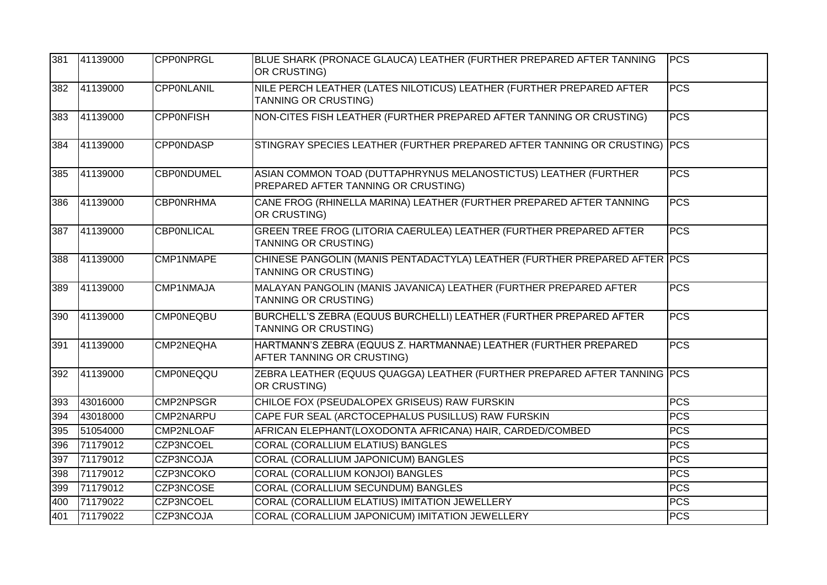| 381 | 41139000 | <b>CPPONPRGL</b>  | BLUE SHARK (PRONACE GLAUCA) LEATHER (FURTHER PREPARED AFTER TANNING<br>OR CRUSTING)                    | <b>PCS</b> |
|-----|----------|-------------------|--------------------------------------------------------------------------------------------------------|------------|
| 382 | 41139000 | <b>CPPONLANIL</b> | NILE PERCH LEATHER (LATES NILOTICUS) LEATHER (FURTHER PREPARED AFTER<br>TANNING OR CRUSTING)           | <b>PCS</b> |
| 383 | 41139000 | <b>CPPONFISH</b>  | NON-CITES FISH LEATHER (FURTHER PREPARED AFTER TANNING OR CRUSTING)                                    | <b>PCS</b> |
| 384 | 41139000 | <b>CPPONDASP</b>  | STINGRAY SPECIES LEATHER (FURTHER PREPARED AFTER TANNING OR CRUSTING) PCS                              |            |
| 385 | 41139000 | <b>CBP0NDUMEL</b> | ASIAN COMMON TOAD (DUTTAPHRYNUS MELANOSTICTUS) LEATHER (FURTHER<br>PREPARED AFTER TANNING OR CRUSTING) | <b>PCS</b> |
| 386 | 41139000 | <b>CBPONRHMA</b>  | CANE FROG (RHINELLA MARINA) LEATHER (FURTHER PREPARED AFTER TANNING<br>OR CRUSTING)                    | <b>PCS</b> |
| 387 | 41139000 | <b>CBPONLICAL</b> | GREEN TREE FROG (LITORIA CAERULEA) LEATHER (FURTHER PREPARED AFTER<br>TANNING OR CRUSTING)             | <b>PCS</b> |
| 388 | 41139000 | CMP1NMAPE         | CHINESE PANGOLIN (MANIS PENTADACTYLA) LEATHER (FURTHER PREPARED AFTER PCS<br>TANNING OR CRUSTING)      |            |
| 389 | 41139000 | CMP1NMAJA         | MALAYAN PANGOLIN (MANIS JAVANICA) LEATHER (FURTHER PREPARED AFTER<br>TANNING OR CRUSTING)              | <b>PCS</b> |
| 390 | 41139000 | <b>CMP0NEQBU</b>  | BURCHELL'S ZEBRA (EQUUS BURCHELLI) LEATHER (FURTHER PREPARED AFTER<br>TANNING OR CRUSTING)             | <b>PCS</b> |
| 391 | 41139000 | CMP2NEQHA         | HARTMANN'S ZEBRA (EQUUS Z. HARTMANNAE) LEATHER (FURTHER PREPARED<br>AFTER TANNING OR CRUSTING)         | <b>PCS</b> |
| 392 | 41139000 | <b>CMP0NEQQU</b>  | ZEBRA LEATHER (EQUUS QUAGGA) LEATHER (FURTHER PREPARED AFTER TANNING PCS<br>OR CRUSTING)               |            |
| 393 | 43016000 | <b>CMP2NPSGR</b>  | CHILOE FOX (PSEUDALOPEX GRISEUS) RAW FURSKIN                                                           | <b>PCS</b> |
| 394 | 43018000 | CMP2NARPU         | CAPE FUR SEAL (ARCTOCEPHALUS PUSILLUS) RAW FURSKIN                                                     | <b>PCS</b> |
| 395 | 51054000 | CMP2NLOAF         | AFRICAN ELEPHANT(LOXODONTA AFRICANA) HAIR, CARDED/COMBED                                               | <b>PCS</b> |
| 396 | 71179012 | CZP3NCOEL         | CORAL (CORALLIUM ELATIUS) BANGLES                                                                      | <b>PCS</b> |
| 397 | 71179012 | CZP3NCOJA         | CORAL (CORALLIUM JAPONICUM) BANGLES                                                                    | <b>PCS</b> |
| 398 | 71179012 | CZP3NCOKO         | <b>CORAL (CORALLIUM KONJOI) BANGLES</b>                                                                | <b>PCS</b> |
| 399 | 71179012 | CZP3NCOSE         | CORAL (CORALLIUM SECUNDUM) BANGLES                                                                     | <b>PCS</b> |
| 400 | 71179022 | CZP3NCOEL         | CORAL (CORALLIUM ELATIUS) IMITATION JEWELLERY                                                          | <b>PCS</b> |
| 401 | 71179022 | CZP3NCOJA         | CORAL (CORALLIUM JAPONICUM) IMITATION JEWELLERY                                                        | <b>PCS</b> |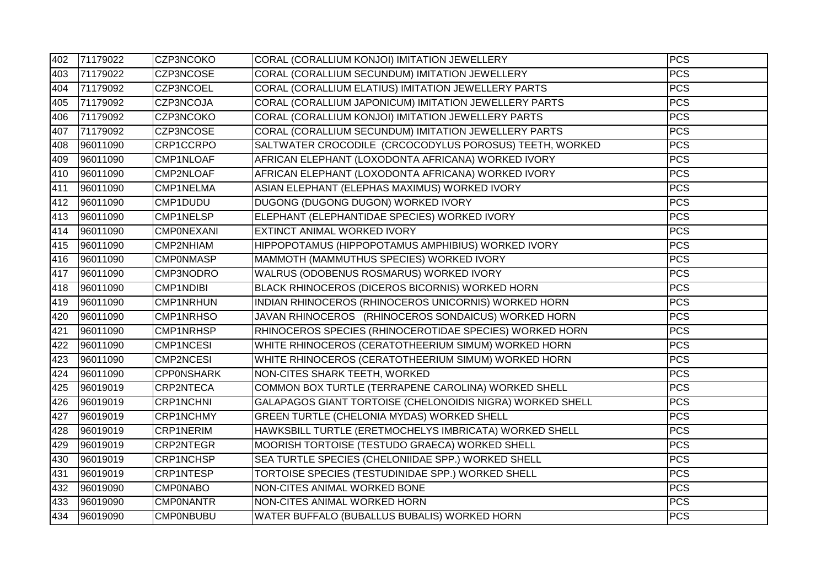| 402 | 71179022 | CZP3NCOKO         | CORAL (CORALLIUM KONJOI) IMITATION JEWELLERY              | <b>PCS</b>       |
|-----|----------|-------------------|-----------------------------------------------------------|------------------|
| 403 | 71179022 | CZP3NCOSE         | CORAL (CORALLIUM SECUNDUM) IMITATION JEWELLERY            | PCS              |
| 404 | 71179092 | CZP3NCOEL         | CORAL (CORALLIUM ELATIUS) IMITATION JEWELLERY PARTS       | $\overline{PCS}$ |
| 405 | 71179092 | CZP3NCOJA         | CORAL (CORALLIUM JAPONICUM) IMITATION JEWELLERY PARTS     | $\overline{PCS}$ |
| 406 | 71179092 | CZP3NCOKO         | CORAL (CORALLIUM KONJOI) IMITATION JEWELLERY PARTS        | <b>PCS</b>       |
| 407 | 71179092 | CZP3NCOSE         | CORAL (CORALLIUM SECUNDUM) IMITATION JEWELLERY PARTS      | <b>PCS</b>       |
| 408 | 96011090 | CRP1CCRPO         | SALTWATER CROCODILE (CRCOCODYLUS POROSUS) TEETH, WORKED   | $\overline{PCS}$ |
| 409 | 96011090 | CMP1NLOAF         | AFRICAN ELEPHANT (LOXODONTA AFRICANA) WORKED IVORY        | $\overline{PCS}$ |
| 410 | 96011090 | CMP2NLOAF         | AFRICAN ELEPHANT (LOXODONTA AFRICANA) WORKED IVORY        | <b>PCS</b>       |
| 411 | 96011090 | CMP1NELMA         | ASIAN ELEPHANT (ELEPHAS MAXIMUS) WORKED IVORY             | <b>PCS</b>       |
| 412 | 96011090 | CMP1DUDU          | DUGONG (DUGONG DUGON) WORKED IVORY                        | $\overline{PCS}$ |
| 413 | 96011090 | <b>CMP1NELSP</b>  | ELEPHANT (ELEPHANTIDAE SPECIES) WORKED IVORY              | <b>PCS</b>       |
| 414 | 96011090 | <b>CMPONEXANI</b> | EXTINCT ANIMAL WORKED IVORY                               | PCS              |
| 415 | 96011090 | CMP2NHIAM         | HIPPOPOTAMUS (HIPPOPOTAMUS AMPHIBIUS) WORKED IVORY        | <b>PCS</b>       |
| 416 | 96011090 | <b>CMPONMASP</b>  | MAMMOTH (MAMMUTHUS SPECIES) WORKED IVORY                  | <b>PCS</b>       |
| 417 | 96011090 | CMP3NODRO         | WALRUS (ODOBENUS ROSMARUS) WORKED IVORY                   | <b>PCS</b>       |
| 418 | 96011090 | <b>CMP1NDIBI</b>  | BLACK RHINOCEROS (DICEROS BICORNIS) WORKED HORN           | <b>PCS</b>       |
| 419 | 96011090 | <b>CMP1NRHUN</b>  | INDIAN RHINOCEROS (RHINOCEROS UNICORNIS) WORKED HORN      | <b>PCS</b>       |
| 420 | 96011090 | <b>CMP1NRHSO</b>  | JAVAN RHINOCEROS (RHINOCEROS SONDAICUS) WORKED HORN       | <b>PCS</b>       |
| 421 | 96011090 | CMP1NRHSP         | RHINOCEROS SPECIES (RHINOCEROTIDAE SPECIES) WORKED HORN   | $\overline{PCS}$ |
| 422 | 96011090 | <b>CMP1NCESI</b>  | WHITE RHINOCEROS (CERATOTHEERIUM SIMUM) WORKED HORN       | <b>PCS</b>       |
| 423 | 96011090 | <b>CMP2NCESI</b>  | WHITE RHINOCEROS (CERATOTHEERIUM SIMUM) WORKED HORN       | <b>PCS</b>       |
| 424 | 96011090 | <b>CPPONSHARK</b> | NON-CITES SHARK TEETH, WORKED                             | <b>PCS</b>       |
| 425 | 96019019 | CRP2NTECA         | COMMON BOX TURTLE (TERRAPENE CAROLINA) WORKED SHELL       | <b>PCS</b>       |
| 426 | 96019019 | <b>CRP1NCHNI</b>  | GALAPAGOS GIANT TORTOISE (CHELONOIDIS NIGRA) WORKED SHELL | <b>PCS</b>       |
| 427 | 96019019 | <b>CRP1NCHMY</b>  | <b>GREEN TURTLE (CHELONIA MYDAS) WORKED SHELL</b>         | <b>PCS</b>       |
| 428 | 96019019 | <b>CRP1NERIM</b>  | HAWKSBILL TURTLE (ERETMOCHELYS IMBRICATA) WORKED SHELL    | <b>PCS</b>       |
| 429 | 96019019 | <b>CRP2NTEGR</b>  | MOORISH TORTOISE (TESTUDO GRAECA) WORKED SHELL            | <b>PCS</b>       |
| 430 | 96019019 | CRP1NCHSP         | SEA TURTLE SPECIES (CHELONIIDAE SPP.) WORKED SHELL        | <b>PCS</b>       |
| 431 | 96019019 | <b>CRP1NTESP</b>  | TORTOISE SPECIES (TESTUDINIDAE SPP.) WORKED SHELL         | <b>PCS</b>       |
| 432 | 96019090 | <b>CMP0NABO</b>   | NON-CITES ANIMAL WORKED BONE                              | <b>PCS</b>       |
| 433 | 96019090 | <b>CMPONANTR</b>  | NON-CITES ANIMAL WORKED HORN                              | <b>PCS</b>       |
| 434 | 96019090 | <b>CMP0NBUBU</b>  | WATER BUFFALO (BUBALLUS BUBALIS) WORKED HORN              | <b>PCS</b>       |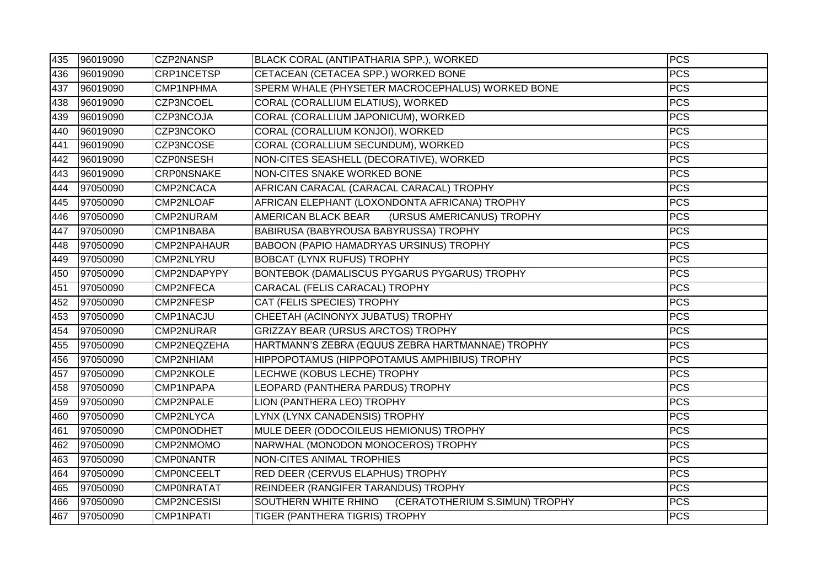| 435 | 96019090 | CZP2NANSP          | BLACK CORAL (ANTIPATHARIA SPP.), WORKED             | <b>PCS</b> |
|-----|----------|--------------------|-----------------------------------------------------|------------|
| 436 | 96019090 | CRP1NCETSP         | CETACEAN (CETACEA SPP.) WORKED BONE                 | <b>PCS</b> |
| 437 | 96019090 | CMP1NPHMA          | SPERM WHALE (PHYSETER MACROCEPHALUS) WORKED BONE    | <b>PCS</b> |
| 438 | 96019090 | CZP3NCOEL          | CORAL (CORALLIUM ELATIUS), WORKED                   | <b>PCS</b> |
| 439 | 96019090 | CZP3NCOJA          | CORAL (CORALLIUM JAPONICUM), WORKED                 | <b>PCS</b> |
| 440 | 96019090 | <b>CZP3NCOKO</b>   | CORAL (CORALLIUM KONJOI), WORKED                    | <b>PCS</b> |
| 441 | 96019090 | CZP3NCOSE          | CORAL (CORALLIUM SECUNDUM), WORKED                  | <b>PCS</b> |
| 442 | 96019090 | <b>CZPONSESH</b>   | NON-CITES SEASHELL (DECORATIVE), WORKED             | <b>PCS</b> |
| 443 | 96019090 | <b>CRPONSNAKE</b>  | NON-CITES SNAKE WORKED BONE                         | <b>PCS</b> |
| 444 | 97050090 | CMP2NCACA          | AFRICAN CARACAL (CARACAL CARACAL) TROPHY            | <b>PCS</b> |
| 445 | 97050090 | CMP2NLOAF          | AFRICAN ELEPHANT (LOXONDONTA AFRICANA) TROPHY       | <b>PCS</b> |
| 446 | 97050090 | CMP2NURAM          | AMERICAN BLACK BEAR<br>(URSUS AMERICANUS) TROPHY    | <b>PCS</b> |
| 447 | 97050090 | CMP1NBABA          | <b>BABIRUSA (BABYROUSA BABYRUSSA) TROPHY</b>        | <b>PCS</b> |
| 448 | 97050090 | CMP2NPAHAUR        | BABOON (PAPIO HAMADRYAS URSINUS) TROPHY             | <b>PCS</b> |
| 449 | 97050090 | CMP2NLYRU          | <b>BOBCAT (LYNX RUFUS) TROPHY</b>                   | <b>PCS</b> |
| 450 | 97050090 | CMP2NDAPYPY        | BONTEBOK (DAMALISCUS PYGARUS PYGARUS) TROPHY        | <b>PCS</b> |
| 451 | 97050090 | CMP2NFECA          | CARACAL (FELIS CARACAL) TROPHY                      | <b>PCS</b> |
| 452 | 97050090 | CMP2NFESP          | CAT (FELIS SPECIES) TROPHY                          | <b>PCS</b> |
| 453 | 97050090 | CMP1NACJU          | CHEETAH (ACINONYX JUBATUS) TROPHY                   | <b>PCS</b> |
| 454 | 97050090 | <b>CMP2NURAR</b>   | GRIZZAY BEAR (URSUS ARCTOS) TROPHY                  | <b>PCS</b> |
| 455 | 97050090 | CMP2NEQZEHA        | HARTMANN'S ZEBRA (EQUUS ZEBRA HARTMANNAE) TROPHY    | <b>PCS</b> |
| 456 | 97050090 | CMP2NHIAM          | HIPPOPOTAMUS (HIPPOPOTAMUS AMPHIBIUS) TROPHY        | <b>PCS</b> |
| 457 | 97050090 | CMP2NKOLE          | LECHWE (KOBUS LECHE) TROPHY                         | <b>PCS</b> |
| 458 | 97050090 | CMP1NPAPA          | LEOPARD (PANTHERA PARDUS) TROPHY                    | <b>PCS</b> |
| 459 | 97050090 | CMP2NPALE          | LION (PANTHERA LEO) TROPHY                          | <b>PCS</b> |
| 460 | 97050090 | <b>CMP2NLYCA</b>   | LYNX (LYNX CANADENSIS) TROPHY                       | <b>PCS</b> |
| 461 | 97050090 | <b>CMP0NODHET</b>  | MULE DEER (ODOCOILEUS HEMIONUS) TROPHY              | <b>PCS</b> |
| 462 | 97050090 | CMP2NMOMO          | NARWHAL (MONODON MONOCEROS) TROPHY                  | <b>PCS</b> |
| 463 | 97050090 | <b>CMPONANTR</b>   | <b>NON-CITES ANIMAL TROPHIES</b>                    | <b>PCS</b> |
| 464 | 97050090 | <b>CMPONCEELT</b>  | <b>RED DEER (CERVUS ELAPHUS) TROPHY</b>             | <b>PCS</b> |
| 465 | 97050090 | <b>CMPONRATAT</b>  | REINDEER (RANGIFER TARANDUS) TROPHY                 | <b>PCS</b> |
| 466 | 97050090 | <b>CMP2NCESISI</b> | SOUTHERN WHITE RHINO (CERATOTHERIUM S.SIMUN) TROPHY | <b>PCS</b> |
| 467 | 97050090 | <b>CMP1NPATI</b>   | TIGER (PANTHERA TIGRIS) TROPHY                      | <b>PCS</b> |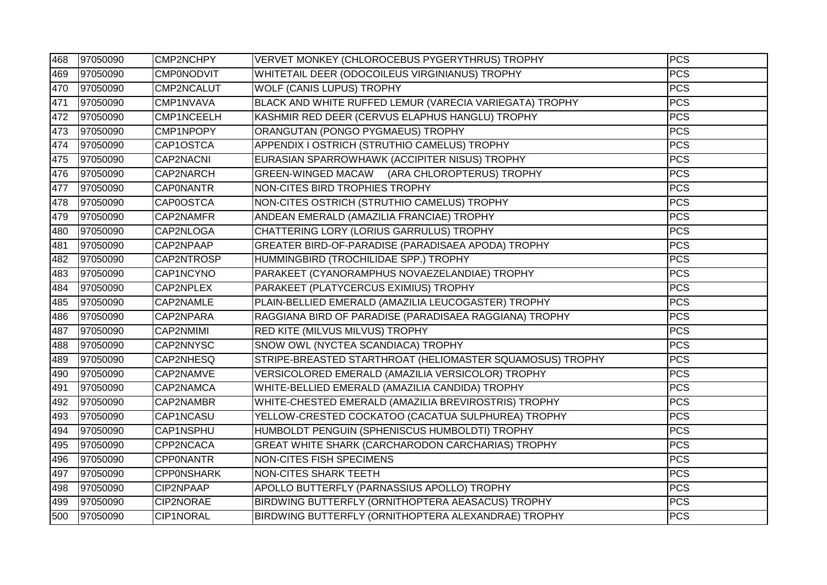| 468 | 97050090 | CMP2NCHPY         | VERVET MONKEY (CHLOROCEBUS PYGERYTHRUS) TROPHY            | <b>PCS</b> |
|-----|----------|-------------------|-----------------------------------------------------------|------------|
| 469 | 97050090 | <b>CMP0NODVIT</b> | WHITETAIL DEER (ODOCOILEUS VIRGINIANUS) TROPHY            | <b>PCS</b> |
| 470 | 97050090 | CMP2NCALUT        | <b>WOLF (CANIS LUPUS) TROPHY</b>                          | <b>PCS</b> |
| 471 | 97050090 | CMP1NVAVA         | BLACK AND WHITE RUFFED LEMUR (VARECIA VARIEGATA) TROPHY   | <b>PCS</b> |
| 472 | 97050090 | CMP1NCEELH        | KASHMIR RED DEER (CERVUS ELAPHUS HANGLU) TROPHY           | <b>PCS</b> |
| 473 | 97050090 | CMP1NPOPY         | ORANGUTAN (PONGO PYGMAEUS) TROPHY                         | <b>PCS</b> |
| 474 | 97050090 | CAP1OSTCA         | APPENDIX I OSTRICH (STRUTHIO CAMELUS) TROPHY              | <b>PCS</b> |
| 475 | 97050090 | CAP2NACNI         | EURASIAN SPARROWHAWK (ACCIPITER NISUS) TROPHY             | <b>PCS</b> |
| 476 | 97050090 | CAP2NARCH         | GREEN-WINGED MACAW (ARA CHLOROPTERUS) TROPHY              | <b>PCS</b> |
| 477 | 97050090 | <b>CAPONANTR</b>  | NON-CITES BIRD TROPHIES TROPHY                            | <b>PCS</b> |
| 478 | 97050090 | CAP0OSTCA         | NON-CITES OSTRICH (STRUTHIO CAMELUS) TROPHY               | <b>PCS</b> |
| 479 | 97050090 | CAP2NAMFR         | ANDEAN EMERALD (AMAZILIA FRANCIAE) TROPHY                 | <b>PCS</b> |
| 480 | 97050090 | CAP2NLOGA         | CHATTERING LORY (LORIUS GARRULUS) TROPHY                  | <b>PCS</b> |
| 481 | 97050090 | CAP2NPAAP         | GREATER BIRD-OF-PARADISE (PARADISAEA APODA) TROPHY        | <b>PCS</b> |
| 482 | 97050090 | CAP2NTROSP        | HUMMINGBIRD (TROCHILIDAE SPP.) TROPHY                     | <b>PCS</b> |
| 483 | 97050090 | CAP1NCYNO         | PARAKEET (CYANORAMPHUS NOVAEZELANDIAE) TROPHY             | <b>PCS</b> |
| 484 | 97050090 | CAP2NPLEX         | PARAKEET (PLATYCERCUS EXIMIUS) TROPHY                     | <b>PCS</b> |
| 485 | 97050090 | CAP2NAMLE         | PLAIN-BELLIED EMERALD (AMAZILIA LEUCOGASTER) TROPHY       | <b>PCS</b> |
| 486 | 97050090 | CAP2NPARA         | RAGGIANA BIRD OF PARADISE (PARADISAEA RAGGIANA) TROPHY    | <b>PCS</b> |
| 487 | 97050090 | CAP2NMIMI         | RED KITE (MILVUS MILVUS) TROPHY                           | <b>PCS</b> |
| 488 | 97050090 | CAP2NNYSC         | SNOW OWL (NYCTEA SCANDIACA) TROPHY                        | <b>PCS</b> |
| 489 | 97050090 | CAP2NHESQ         | STRIPE-BREASTED STARTHROAT (HELIOMASTER SQUAMOSUS) TROPHY | <b>PCS</b> |
| 490 | 97050090 | CAP2NAMVE         | VERSICOLORED EMERALD (AMAZILIA VERSICOLOR) TROPHY         | <b>PCS</b> |
| 491 | 97050090 | CAP2NAMCA         | WHITE-BELLIED EMERALD (AMAZILIA CANDIDA) TROPHY           | <b>PCS</b> |
| 492 | 97050090 | CAP2NAMBR         | WHITE-CHESTED EMERALD (AMAZILIA BREVIROSTRIS) TROPHY      | <b>PCS</b> |
| 493 | 97050090 | CAP1NCASU         | YELLOW-CRESTED COCKATOO (CACATUA SULPHUREA) TROPHY        | <b>PCS</b> |
| 494 | 97050090 | CAP1NSPHU         | HUMBOLDT PENGUIN (SPHENISCUS HUMBOLDTI) TROPHY            | <b>PCS</b> |
| 495 | 97050090 | CPP2NCACA         | GREAT WHITE SHARK (CARCHARODON CARCHARIAS) TROPHY         | <b>PCS</b> |
| 496 | 97050090 | <b>CPPONANTR</b>  | <b>NON-CITES FISH SPECIMENS</b>                           | <b>PCS</b> |
| 497 | 97050090 | <b>CPPONSHARK</b> | <b>NON-CITES SHARK TEETH</b>                              | <b>PCS</b> |
| 498 | 97050090 | CIP2NPAAP         | APOLLO BUTTERFLY (PARNASSIUS APOLLO) TROPHY               | <b>PCS</b> |
| 499 | 97050090 | CIP2NORAE         | BIRDWING BUTTERFLY (ORNITHOPTERA AEASACUS) TROPHY         | <b>PCS</b> |
| 500 | 97050090 | CIP1NORAL         | BIRDWING BUTTERFLY (ORNITHOPTERA ALEXANDRAE) TROPHY       | <b>PCS</b> |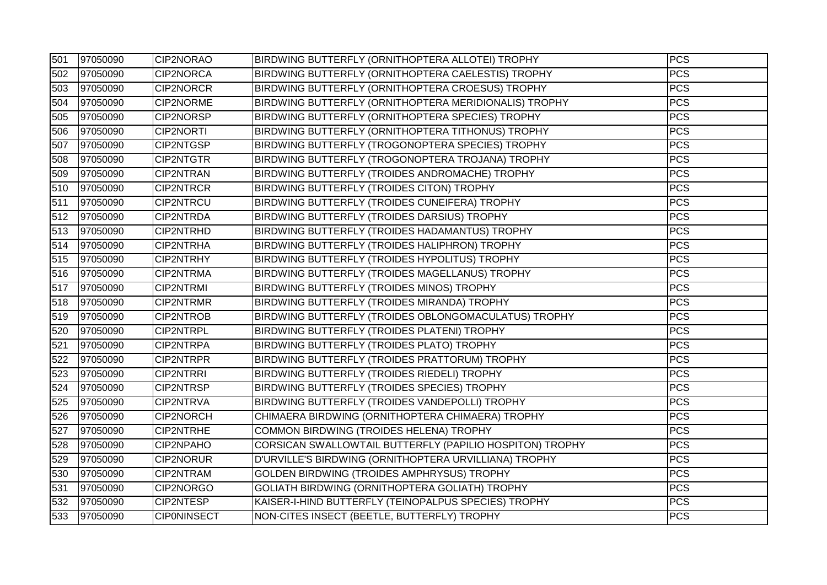| 501 | 97050090 | CIP2NORAO          | BIRDWING BUTTERFLY (ORNITHOPTERA ALLOTEI) TROPHY         | <b>PCS</b> |
|-----|----------|--------------------|----------------------------------------------------------|------------|
| 502 | 97050090 | CIP2NORCA          | BIRDWING BUTTERFLY (ORNITHOPTERA CAELESTIS) TROPHY       | <b>PCS</b> |
| 503 | 97050090 | <b>CIP2NORCR</b>   | BIRDWING BUTTERFLY (ORNITHOPTERA CROESUS) TROPHY         | <b>PCS</b> |
| 504 | 97050090 | CIP2NORME          | BIRDWING BUTTERFLY (ORNITHOPTERA MERIDIONALIS) TROPHY    | <b>PCS</b> |
| 505 | 97050090 | CIP2NORSP          | BIRDWING BUTTERFLY (ORNITHOPTERA SPECIES) TROPHY         | <b>PCS</b> |
| 506 | 97050090 | <b>CIP2NORTI</b>   | BIRDWING BUTTERFLY (ORNITHOPTERA TITHONUS) TROPHY        | <b>PCS</b> |
| 507 | 97050090 | CIP2NTGSP          | BIRDWING BUTTERFLY (TROGONOPTERA SPECIES) TROPHY         | <b>PCS</b> |
| 508 | 97050090 | <b>CIP2NTGTR</b>   | BIRDWING BUTTERFLY (TROGONOPTERA TROJANA) TROPHY         | <b>PCS</b> |
| 509 | 97050090 | <b>CIP2NTRAN</b>   | BIRDWING BUTTERFLY (TROIDES ANDROMACHE) TROPHY           | <b>PCS</b> |
| 510 | 97050090 | <b>CIP2NTRCR</b>   | BIRDWING BUTTERFLY (TROIDES CITON) TROPHY                | <b>PCS</b> |
| 511 | 97050090 | <b>CIP2NTRCU</b>   | BIRDWING BUTTERFLY (TROIDES CUNEIFERA) TROPHY            | <b>PCS</b> |
| 512 | 97050090 | <b>CIP2NTRDA</b>   | BIRDWING BUTTERFLY (TROIDES DARSIUS) TROPHY              | <b>PCS</b> |
| 513 | 97050090 | CIP2NTRHD          | BIRDWING BUTTERFLY (TROIDES HADAMANTUS) TROPHY           | <b>PCS</b> |
| 514 | 97050090 | CIP2NTRHA          | BIRDWING BUTTERFLY (TROIDES HALIPHRON) TROPHY            | <b>PCS</b> |
| 515 | 97050090 | <b>CIP2NTRHY</b>   | BIRDWING BUTTERFLY (TROIDES HYPOLITUS) TROPHY            | <b>PCS</b> |
| 516 | 97050090 | CIP2NTRMA          | BIRDWING BUTTERFLY (TROIDES MAGELLANUS) TROPHY           | <b>PCS</b> |
| 517 | 97050090 | <b>CIP2NTRMI</b>   | BIRDWING BUTTERFLY (TROIDES MINOS) TROPHY                | <b>PCS</b> |
| 518 | 97050090 | <b>CIP2NTRMR</b>   | BIRDWING BUTTERFLY (TROIDES MIRANDA) TROPHY              | <b>PCS</b> |
| 519 | 97050090 | <b>CIP2NTROB</b>   | BIRDWING BUTTERFLY (TROIDES OBLONGOMACULATUS) TROPHY     | <b>PCS</b> |
| 520 | 97050090 | CIP2NTRPL          | BIRDWING BUTTERFLY (TROIDES PLATENI) TROPHY              | <b>PCS</b> |
| 521 | 97050090 | CIP2NTRPA          | BIRDWING BUTTERFLY (TROIDES PLATO) TROPHY                | <b>PCS</b> |
| 522 | 97050090 | <b>CIP2NTRPR</b>   | BIRDWING BUTTERFLY (TROIDES PRATTORUM) TROPHY            | <b>PCS</b> |
| 523 | 97050090 | <b>CIP2NTRRI</b>   | BIRDWING BUTTERFLY (TROIDES RIEDELI) TROPHY              | <b>PCS</b> |
| 524 | 97050090 | <b>CIP2NTRSP</b>   | BIRDWING BUTTERFLY (TROIDES SPECIES) TROPHY              | <b>PCS</b> |
| 525 | 97050090 | CIP2NTRVA          | BIRDWING BUTTERFLY (TROIDES VANDEPOLLI) TROPHY           | <b>PCS</b> |
| 526 | 97050090 | <b>CIP2NORCH</b>   | CHIMAERA BIRDWING (ORNITHOPTERA CHIMAERA) TROPHY         | <b>PCS</b> |
| 527 | 97050090 | <b>CIP2NTRHE</b>   | COMMON BIRDWING (TROIDES HELENA) TROPHY                  | <b>PCS</b> |
| 528 | 97050090 | CIP2NPAHO          | CORSICAN SWALLOWTAIL BUTTERFLY (PAPILIO HOSPITON) TROPHY | <b>PCS</b> |
| 529 | 97050090 | <b>CIP2NORUR</b>   | D'URVILLE'S BIRDWING (ORNITHOPTERA URVILLIANA) TROPHY    | <b>PCS</b> |
| 530 | 97050090 | <b>CIP2NTRAM</b>   | GOLDEN BIRDWING (TROIDES AMPHRYSUS) TROPHY               | <b>PCS</b> |
| 531 | 97050090 | CIP2NORGO          | GOLIATH BIRDWING (ORNITHOPTERA GOLIATH) TROPHY           | <b>PCS</b> |
| 532 | 97050090 | CIP2NTESP          | KAISER-I-HIND BUTTERFLY (TEINOPALPUS SPECIES) TROPHY     | <b>PCS</b> |
| 533 | 97050090 | <b>CIPONINSECT</b> | NON-CITES INSECT (BEETLE, BUTTERFLY) TROPHY              | <b>PCS</b> |